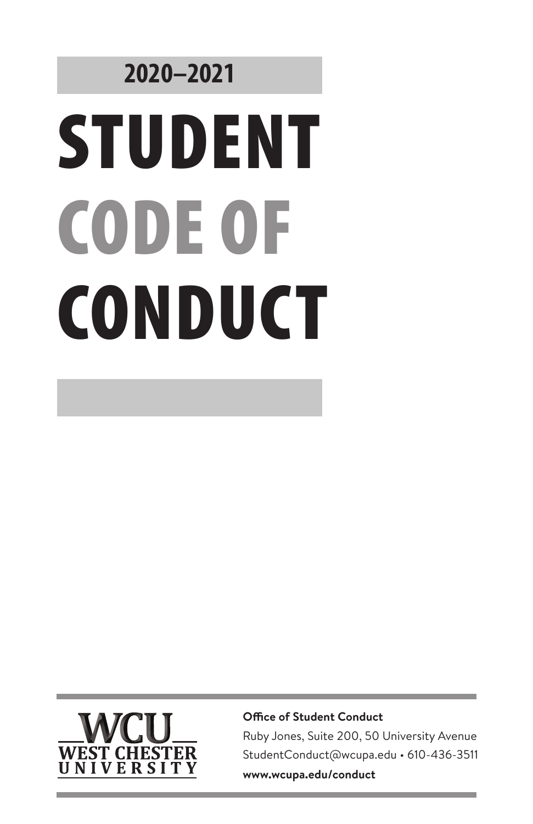# **2020–2021**  STUDENT CODE OF **CONDUCT**



**Office of Student Conduct**

Ruby Jones, Suite 200, 50 University Avenue StudentConduct@wcupa.edu • 610-436-3511 **www.wcupa.edu/conduct**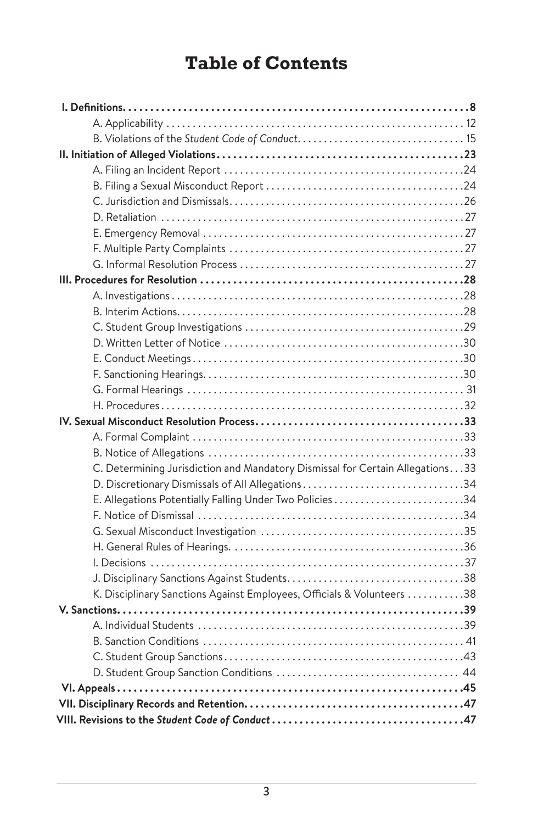# **Table of Contents**

| C. Determining Jurisdiction and Mandatory Dismissal for Certain Allegations. 33 |
|---------------------------------------------------------------------------------|
| D. Discretionary Dismissals of All Allegations34                                |
| E. Allegations Potentially Falling Under Two Policies34                         |
|                                                                                 |
|                                                                                 |
|                                                                                 |
|                                                                                 |
|                                                                                 |
| K. Disciplinary Sanctions Against Employees, Officials & Volunteers 38          |
|                                                                                 |
|                                                                                 |
|                                                                                 |
|                                                                                 |
|                                                                                 |
|                                                                                 |
|                                                                                 |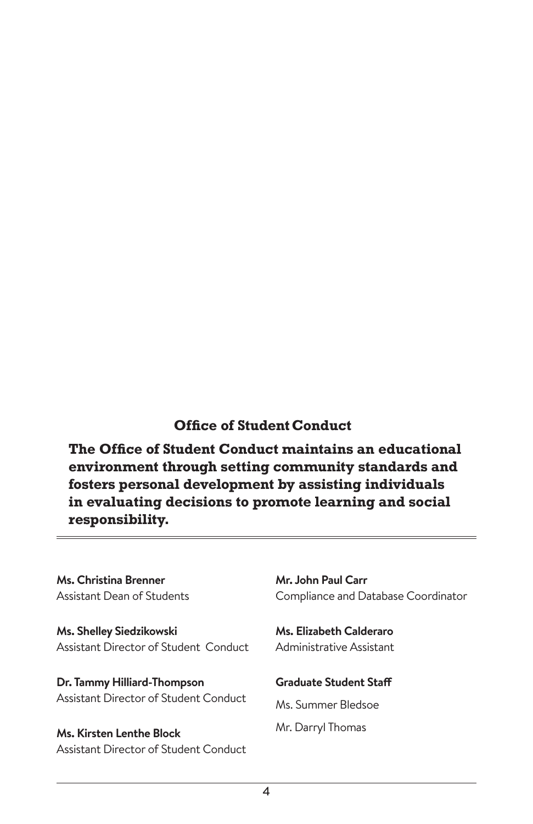# **Office of Student Conduct**

**The Office of Student Conduct maintains an educational environment through setting community standards and fosters personal development by assisting individuals in evaluating decisions to promote learning and social responsibility.**

**Ms. Christina Brenner** Assistant Dean of Students

**Ms. Shelley Siedzikowski** Assistant Director of Student Conduct

**Dr. Tammy Hilliard-Thompson** Assistant Director of Student Conduct

**Ms. Kirsten Lenthe Block** Assistant Director of Student Conduct **Mr. John Paul Carr** Compliance and Database Coordinator

**Ms. Elizabeth Calderaro** Administrative Assistant

**Graduate Student Staff**

Ms. Summer Bledsoe Mr. Darryl Thomas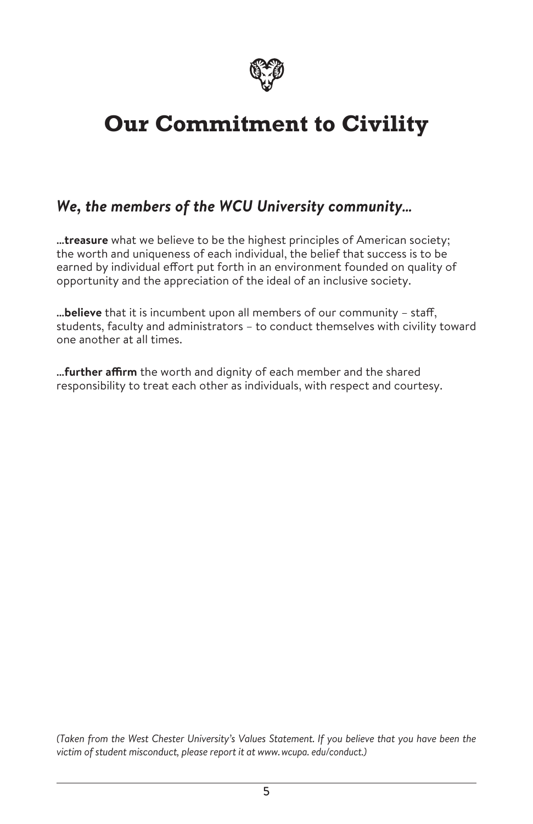

# **Our Commitment to Civility**

# *We, the members of the WCU University community…*

**…treasure** what we believe to be the highest principles of American society; the worth and uniqueness of each individual, the belief that success is to be earned by individual effort put forth in an environment founded on quality of opportunity and the appreciation of the ideal of an inclusive society.

**…believe** that it is incumbent upon all members of our community – staff, students, faculty and administrators – to conduct themselves with civility toward one another at all times.

**…further affirm** the worth and dignity of each member and the shared responsibility to treat each other as individuals, with respect and courtesy.

*(Taken from the West Chester University's Values Statement. If you believe that you have been the victim of student misconduct, please report it at www.wcupa. edu/conduct.)*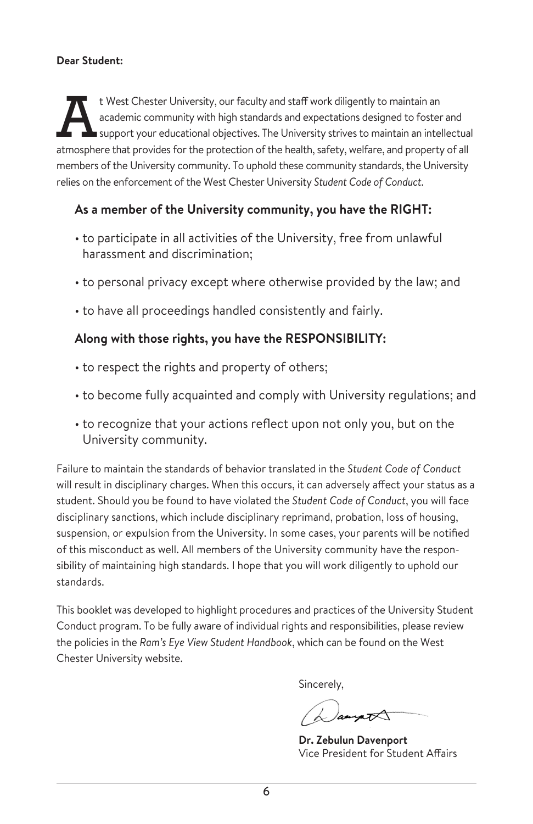### **Dear Student:**

t West Chester University, our faculty and staff work diligently to maintain an academic community with high standards and expectations designed to foster support your educational objectives. The University strives to main academic community with high standards and expectations designed to foster and support your educational objectives. The University strives to maintain an intellectual atmosphere that provides for the protection of the health, safety, welfare, and property of all members of the University community. To uphold these community standards, the University relies on the enforcement of the West Chester University *Student Code of Conduct*.

# **As a member of the University community, you have the RIGHT:**

- to participate in all activities of the University, free from unlawful harassment and discrimination;
- to personal privacy except where otherwise provided by the law; and
- to have all proceedings handled consistently and fairly.

# **Along with those rights, you have the RESPONSIBILITY:**

- to respect the rights and property of others;
- to become fully acquainted and comply with University regulations; and
- to recognize that your actions reflect upon not only you, but on the University community.

Failure to maintain the standards of behavior translated in the *Student Code of Conduct* will result in disciplinary charges. When this occurs, it can adversely affect your status as a student. Should you be found to have violated the *Student Code of Conduct*, you will face disciplinary sanctions, which include disciplinary reprimand, probation, loss of housing, suspension, or expulsion from the University. In some cases, your parents will be notified of this misconduct as well. All members of the University community have the responsibility of maintaining high standards. I hope that you will work diligently to uphold our standards.

This booklet was developed to highlight procedures and practices of the University Student Conduct program. To be fully aware of individual rights and responsibilities, please review the policies in the *Ram's Eye View Student Handbook*, which can be found on the West Chester University website.

Sincerely,

ampt

**Dr. Zebulun Davenport** Vice President for Student Affairs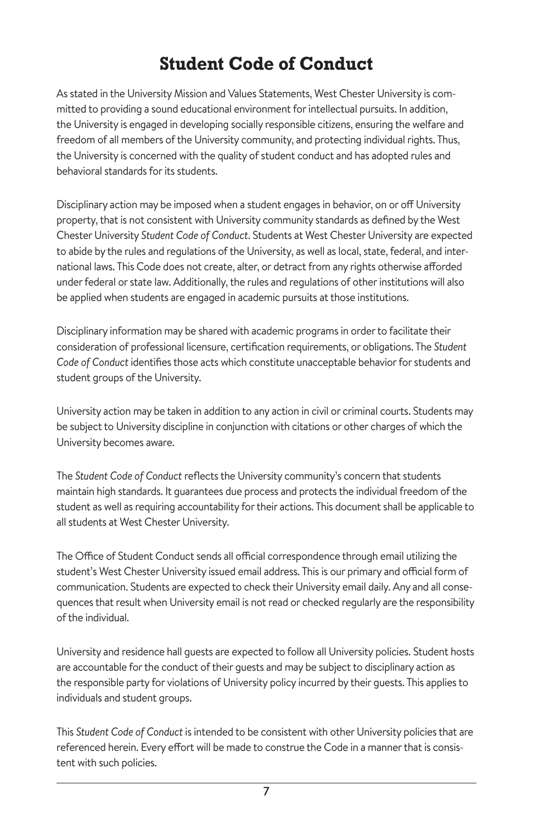# **Student Code of Conduct**

As stated in the University Mission and Values Statements, West Chester University is committed to providing a sound educational environment for intellectual pursuits. In addition, the University is engaged in developing socially responsible citizens, ensuring the welfare and freedom of all members of the University community, and protecting individual rights. Thus, the University is concerned with the quality of student conduct and has adopted rules and behavioral standards for its students.

Disciplinary action may be imposed when a student engages in behavior, on or off University property, that is not consistent with University community standards as defined by the West Chester University *Student Code of Conduct*. Students at West Chester University are expected to abide by the rules and regulations of the University, as well as local, state, federal, and international laws. This Code does not create, alter, or detract from any rights otherwise afforded under federal or state law. Additionally, the rules and regulations of other institutions will also be applied when students are engaged in academic pursuits at those institutions.

Disciplinary information may be shared with academic programs in order to facilitate their consideration of professional licensure, certification requirements, or obligations. The *Student Code of Conduct* identifies those acts which constitute unacceptable behavior for students and student groups of the University.

University action may be taken in addition to any action in civil or criminal courts. Students may be subject to University discipline in conjunction with citations or other charges of which the University becomes aware.

The *Student Code of Conduct* reflects the University community's concern that students maintain high standards. It guarantees due process and protects the individual freedom of the student as well as requiring accountability for their actions. This document shall be applicable to all students at West Chester University.

The Office of Student Conduct sends all official correspondence through email utilizing the student's West Chester University issued email address. This is our primary and official form of communication. Students are expected to check their University email daily. Any and all consequences that result when University email is not read or checked regularly are the responsibility of the individual.

University and residence hall guests are expected to follow all University policies. Student hosts are accountable for the conduct of their guests and may be subject to disciplinary action as the responsible party for violations of University policy incurred by their guests. This applies to individuals and student groups.

This *Student Code of Conduct* is intended to be consistent with other University policies that are referenced herein. Every effort will be made to construe the Code in a manner that is consistent with such policies.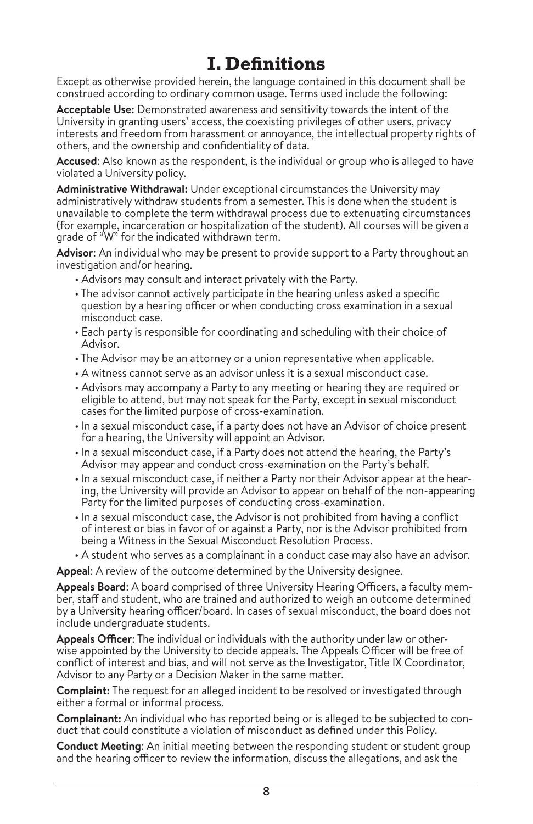# **I. Definitions**

Except as otherwise provided herein, the language contained in this document shall be construed according to ordinary common usage. Terms used include the following:

**Acceptable Use:** Demonstrated awareness and sensitivity towards the intent of the University in granting users' access, the coexisting privileges of other users, privacy interests and freedom from harassment or annoyance, the intellectual property rights of others, and the ownership and confidentiality of data.

**Accused**: Also known as the respondent, is the individual or group who is alleged to have violated a University policy.

**Administrative Withdrawal:** Under exceptional circumstances the University may administratively withdraw students from a semester. This is done when the student is unavailable to complete the term withdrawal process due to extenuating circumstances (for example, incarceration or hospitalization of the student). All courses will be given a grade of "W" for the indicated withdrawn term.

**Advisor**: An individual who may be present to provide support to a Party throughout an investigation and/or hearing.

- Advisors may consult and interact privately with the Party.
- The advisor cannot actively participate in the hearing unless asked a specific question by a hearing officer or when conducting cross examination in a sexual misconduct case.
- Each party is responsible for coordinating and scheduling with their choice of Advisor.
- The Advisor may be an attorney or a union representative when applicable.
- A witness cannot serve as an advisor unless it is a sexual misconduct case.
- Advisors may accompany a Party to any meeting or hearing they are required or eligible to attend, but may not speak for the Party, except in sexual misconduct cases for the limited purpose of cross-examination.
- In a sexual misconduct case, if a party does not have an Advisor of choice present for a hearing, the University will appoint an Advisor.
- In a sexual misconduct case, if a Party does not attend the hearing, the Party's Advisor may appear and conduct cross-examination on the Party's behalf.
- In a sexual misconduct case, if neither a Party nor their Advisor appear at the hearing, the University will provide an Advisor to appear on behalf of the non-appearing Party for the limited purposes of conducting cross-examination.
- In a sexual misconduct case, the Advisor is not prohibited from having a conflict of interest or bias in favor of or against a Party, nor is the Advisor prohibited from being a Witness in the Sexual Misconduct Resolution Process.
- A student who serves as a complainant in a conduct case may also have an advisor.

**Appeal**: A review of the outcome determined by the University designee.

**Appeals Board**: A board comprised of three University Hearing Officers, a faculty member, staff and student, who are trained and authorized to weigh an outcome determined by a University hearing officer/board. In cases of sexual misconduct, the board does not include undergraduate students.

**Appeals Officer**: The individual or individuals with the authority under law or otherwise appointed by the University to decide appeals. The Appeals Officer will be free of conflict of interest and bias, and will not serve as the Investigator, Title IX Coordinator, Advisor to any Party or a Decision Maker in the same matter.

**Complaint:** The request for an alleged incident to be resolved or investigated through either a formal or informal process.

**Complainant:** An individual who has reported being or is alleged to be subjected to conduct that could constitute a violation of misconduct as defined under this Policy.

**Conduct Meeting**: An initial meeting between the responding student or student group and the hearing officer to review the information, discuss the allegations, and ask the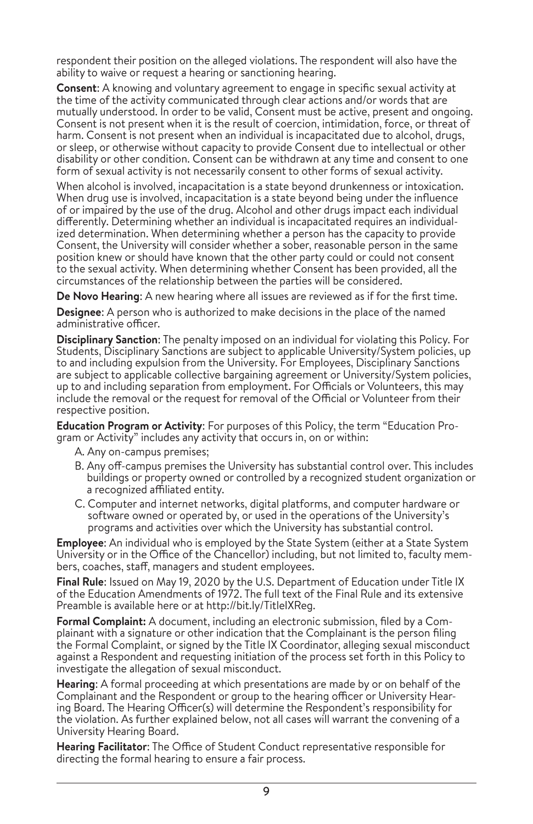respondent their position on the alleged violations. The respondent will also have the ability to waive or request a hearing or sanctioning hearing.

**Consent**: A knowing and voluntary agreement to engage in specific sexual activity at the time of the activity communicated through clear actions and/or words that are mutually understood. In order to be valid, Consent must be active, present and ongoing. Consent is not present when it is the result of coercion, intimidation, force, or threat of harm. Consent is not present when an individual is incapacitated due to alcohol, drugs, or sleep, or otherwise without capacity to provide Consent due to intellectual or other disability or other condition. Consent can be withdrawn at any time and consent to one form of sexual activity is not necessarily consent to other forms of sexual activity.

When alcohol is involved, incapacitation is a state beyond drunkenness or intoxication. When drug use is involved, incapacitation is a state beyond being under the influence of or impaired by the use of the drug. Alcohol and other drugs impact each individual differently. Determining whether an individual is incapacitated requires an individual ized determination. When determining whether a person has the capacity to provide Consent, the University will consider whether a sober, reasonable person in the same position knew or should have known that the other party could or could not consent to the sexual activity. When determining whether Consent has been provided, all the circumstances of the relationship between the parties will be considered.

**De Novo Hearing**: A new hearing where all issues are reviewed as if for the first time.

**Designee**: A person who is authorized to make decisions in the place of the named administrative officer.

**Disciplinary Sanction**: The penalty imposed on an individual for violating this Policy. For Students, Disciplinary Sanctions are subject to applicable University/System policies, up to and including expulsion from the University. For Employees, Disciplinary Sanctions are subject to applicable collective bargaining agreement or University/System policies, up to and including separation from employment. For Officials or Volunteers, this may include the removal or the request for removal of the Official or Volunteer from their respective position.

**Education Program or Activity**: For purposes of this Policy, the term "Education Program or Activity" includes any activity that occurs in, on or within:

- A. Any on-campus premises;
- B. Any off-campus premises the University has substantial control over. This includes buildings or property owned or controlled by a recognized student organization or a recognized affiliated entity.
- C. Computer and internet networks, digital platforms, and computer hardware or software owned or operated by, or used in the operations of the University's programs and activities over which the University has substantial control.

**Employee**: An individual who is employed by the State System (either at a State System University or in the Office of the Chancellor) including, but not limited to, faculty members, coaches, staff, managers and student employees.

**Final Rule**: Issued on May 19, 2020 by the U.S. Department of Education under Title IX of the Education Amendments of 1972. The full text of the Final Rule and its extensive Preamble is available here or at http://bit.ly/TitleIXReg.

**Formal Complaint:** A document, including an electronic submission, filed by a Com plainant with a signature or other indication that the Complainant is the person filing the Formal Complaint, or signed by the Title IX Coordinator, alleging sexual misconduct against a Respondent and requesting initiation of the process set forth in this Policy to investigate the allegation of sexual misconduct.

**Hearing**: A formal proceeding at which presentations are made by or on behalf of the Complainant and the Respondent or group to the hearing officer or University Hearing Board. The Hearing Officer(s) will determine the Respondent's responsibility for the violation. As further explained below, not all cases will warrant the convening of a University Hearing Board.

**Hearing Facilitator**: The Office of Student Conduct representative responsible for directing the formal hearing to ensure a fair process.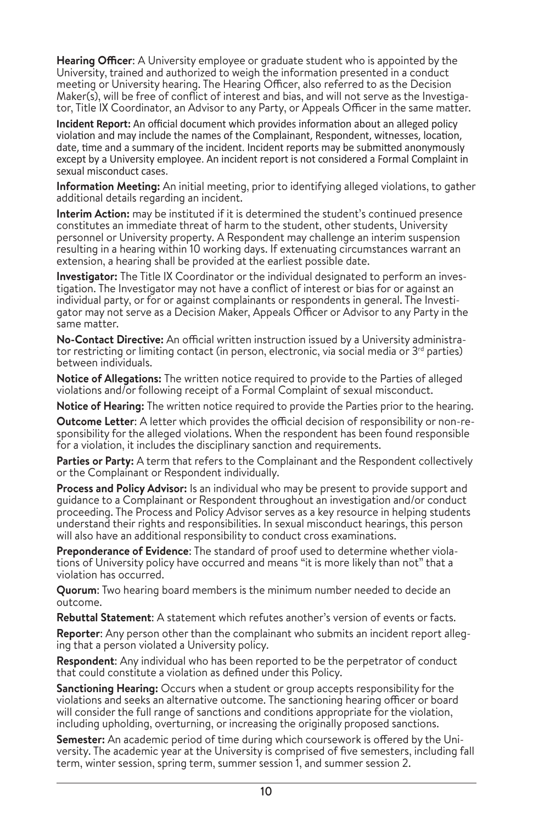**Hearing Officer**: A University employee or graduate student who is appointed by the University, trained and authorized to weigh the information presented in a conduct meeting or University hearing. The Hearing Officer, also referred to as the Decision Maker(s), will be free of conflict of interest and bias, and will not serve as the Investigator, Title IX Coordinator, an Advisor to any Party, or Appeals Officer in the same matter.

**Incident Report:** An official document which provides information about an alleged policy violation and may include the names of the Complainant, Respondent, witnesses, location, date, time and a summary of the incident. Incident reports may be submitted anonymously except by a University employee. An incident report is not considered a Formal Complaint in sexual misconduct cases.

**Information Meeting:** An initial meeting, prior to identifying alleged violations, to gather additional details regarding an incident.

**Interim Action:** may be instituted if it is determined the student's continued presence constitutes an immediate threat of harm to the student, other students, University personnel or University property. A Respondent may challenge an interim suspension resulting in a hearing within 10 working days. If extenuating circumstances warrant an extension, a hearing shall be provided at the earliest possible date.

**Investigator:** The Title IX Coordinator or the individual designated to perform an investigation. The Investigator may not have a conflict of interest or bias for or against an individual party, or for or against complainants or respondents in general. The Investigator may not serve as a Decision Maker, Appeals Officer or Advisor to any Party in the same matter.

**No-Contact Directive:** An official written instruction issued by a University administra tor restricting or limiting contact (in person, electronic, via social media or  $3<sup>rd</sup>$  parties) between individuals.

**Notice of Allegations:** The written notice required to provide to the Parties of alleged violations and/or following receipt of a Formal Complaint of sexual misconduct.

**Notice of Hearing:** The written notice required to provide the Parties prior to the hearing.

**Outcome Letter**: A letter which provides the official decision of responsibility or non-responsibility for the alleged violations. When the respondent has been found responsible for a violation, it includes the disciplinary sanction and requirements.

**Parties or Party:** A term that refers to the Complainant and the Respondent collectively or the Complainant or Respondent individually.

**Process and Policy Advisor:** Is an individual who may be present to provide support and guidance to a Complainant or Respondent throughout an investigation and/or conduct proceeding. The Process and Policy Advisor serves as a key resource in helping students understand their rights and responsibilities. In sexual misconduct hearings, this person will also have an additional responsibility to conduct cross examinations.

**Preponderance of Evidence**: The standard of proof used to determine whether violations of University policy have occurred and means "it is more likely than not" that a violation has occurred.

**Quorum**: Two hearing board members is the minimum number needed to decide an outcome.

**Rebuttal Statement**: A statement which refutes another's version of events or facts.

**Reporter**: Any person other than the complainant who submits an incident report alleging that a person violated a University policy*.*

**Respondent**: Any individual who has been reported to be the perpetrator of conduct that could constitute a violation as defined under this Policy.

**Sanctioning Hearing:** Occurs when a student or group accepts responsibility for the violations and seeks an alternative outcome. The sanctioning hearing officer or board will consider the full range of sanctions and conditions appropriate for the violation, including upholding, overturning, or increasing the originally proposed sanctions.

**Semester:** An academic period of time during which coursework is offered by the Uni versity. The academic year at the University is comprised of five semesters, including fall term, winter session, spring term, summer session 1, and summer session 2.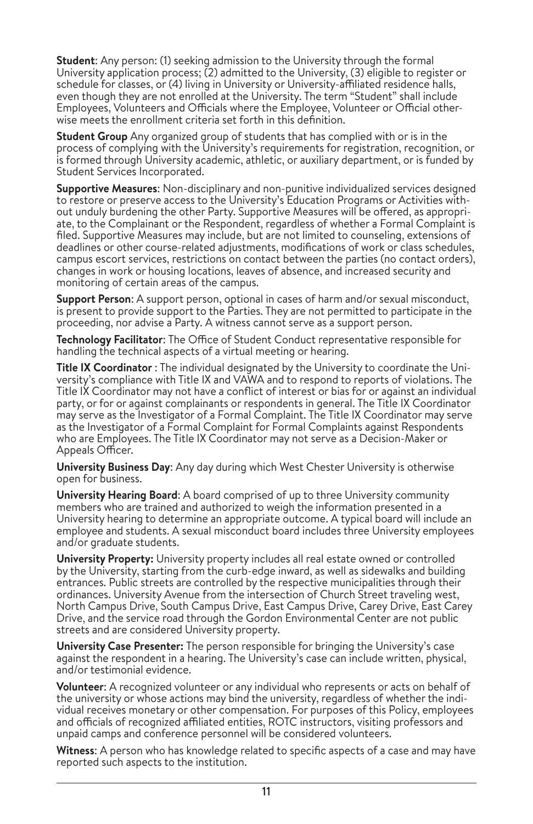**Student:** Any person: (1) seeking admission to the University through the formal University application process; (2) admitted to the University, (3) eligible to register or schedule for classes, or (4) living in University or University-affiliated residence halls, even though they are not enrolled at the University. The term "Student" shall include Employees, Volunteers and Officials where the Employee, Volunteer or Official otherwise meets the enrollment criteria set forth in this definition.

**Student Group** Any organized group of students that has complied with or is in the process of complying with the University's requirements for registration, recognition, or is formed through University academic, athletic, or auxiliary department, or is funded by Student Services Incorporated.

**Supportive Measures**: Non-disciplinary and non-punitive individualized services designed to restore or preserve access to the University's Education Programs or Activities with out unduly burdening the other Party. Supportive Measures will be offered, as appropriate, to the Complainant or the Respondent, regardless of whether a Formal Complaint is filed. Supportive Measures may include, but are not limited to counseling, extensions of deadlines or other course-related adjustments, modifications of work or class schedules, campus escort services, restrictions on contact between the parties (no contact orders), changes in work or housing locations, leaves of absence, and increased security and monitoring of certain areas of the campus.

**Support Person**: A support person, optional in cases of harm and/or sexual misconduct, is present to provide support to the Parties. They are not permitted to participate in the proceeding, nor advise a Party. A witness cannot serve as a support person.

**Technology Facilitator**: The Office of Student Conduct representative responsible for handling the technical aspects of a virtual meeting or hearing.

**Title IX Coordinator** : The individual designated by the University to coordinate the University's compliance with Title IX and VAWA and to respond to reports of violations. The Title IX Coordinator may not have a conflict of interest or bias for or against an individual party, or for or against complainants or respondents in general. The Title IX Coordinator may serve as the Investigator of a Formal Complaint. The Title IX Coordinator may serve as the Investigator of a Formal Complaint for Formal Complaints against Respondents who are Employees. The Title IX Coordinator may not serve as a Decision-Maker or Appeals Officer.

**University Business Day**: Any day during which West Chester University is otherwise open for business.

**University Hearing Board**: A board comprised of up to three University community members who are trained and authorized to weigh the information presented in a University hearing to determine an appropriate outcome. A typical board will include an employee and students. A sexual misconduct board includes three University employees and/or graduate students.

**University Property:** University property includes all real estate owned or controlled by the University, starting from the curb-edge inward, as well as sidewalks and building entrances. Public streets are controlled by the respective municipalities through their ordinances. University Avenue from the intersection of Church Street traveling west, North Campus Drive, South Campus Drive, East Campus Drive, Carey Drive, East Carey Drive, and the service road through the Gordon Environmental Center are not public streets and are considered University property.

**University Case Presenter:** The person responsible for bringing the University's case against the respondent in a hearing. The University's case can include written, physical, and/or testimonial evidence.

**Volunteer**: A recognized volunteer or any individual who represents or acts on behalf of the university or whose actions may bind the university, regardless of whether the individual receives monetary or other compensation. For purposes of this Policy, employees and officials of recognized affiliated entities, ROTC instructors, visiting professors and unpaid camps and conference personnel will be considered volunteers.

**Witness**: A person who has knowledge related to specific aspects of a case and may have reported such aspects to the institution.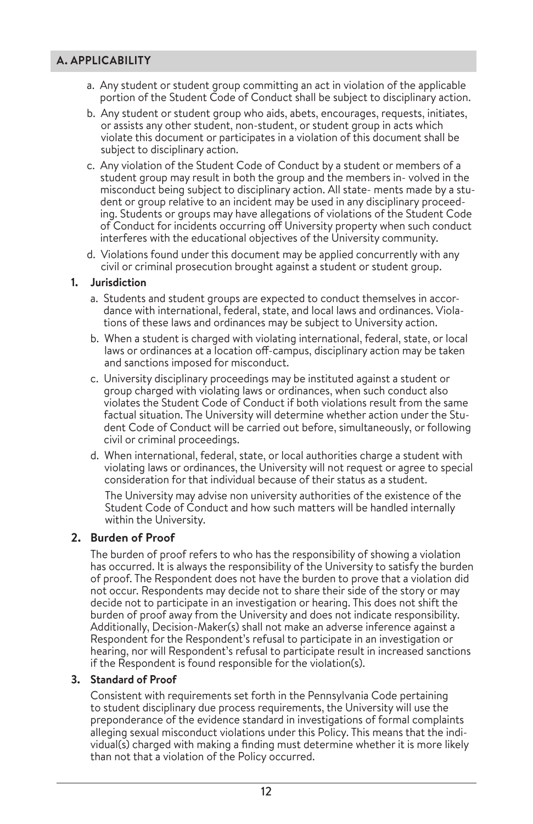### **A. APPLICABILITY**

- a. Any student or student group committing an act in violation of the applicable portion of the Student Code of Conduct shall be subject to disciplinary action.
- b. Any student or student group who aids, abets, encourages, requests, initiates, or assists any other student, non-student, or student group in acts which violate this document or participates in a violation of this document shall be subject to disciplinary action.
- c. Any violation of the Student Code of Conduct by a student or members of a student group may result in both the group and the members in- volved in the misconduct being subject to disciplinary action. All state- ments made by a student or group relative to an incident may be used in any disciplinary proceeding. Students or groups may have allegations of violations of the Student Code of Conduct for incidents occurring off University property when such conduct interferes with the educational objectives of the University community.
- d. Violations found under this document may be applied concurrently with any civil or criminal prosecution brought against a student or student group.

### **1. Jurisdiction**

- a. Students and student groups are expected to conduct themselves in accordance with international, federal, state, and local laws and ordinances. Violations of these laws and ordinances may be subject to University action.
- b. When a student is charged with violating international, federal, state, or local laws or ordinances at a location off-campus, disciplinary action may be taken and sanctions imposed for misconduct.
- c. University disciplinary proceedings may be instituted against a student or group charged with violating laws or ordinances, when such conduct also violates the Student Code of Conduct if both violations result from the same factual situation. The University will determine whether action under the Student Code of Conduct will be carried out before, simultaneously, or following civil or criminal proceedings.
- d. When international, federal, state, or local authorities charge a student with violating laws or ordinances, the University will not request or agree to special consideration for that individual because of their status as a student.

The University may advise non university authorities of the existence of the Student Code of Conduct and how such matters will be handled internally within the University.

### **2. Burden of Proof**

The burden of proof refers to who has the responsibility of showing a violation has occurred. It is always the responsibility of the University to satisfy the burden of proof. The Respondent does not have the burden to prove that a violation did not occur. Respondents may decide not to share their side of the story or may decide not to participate in an investigation or hearing. This does not shift the burden of proof away from the University and does not indicate responsibility. Additionally, Decision-Maker(s) shall not make an adverse inference against a Respondent for the Respondent's refusal to participate in an investigation or hearing, nor will Respondent's refusal to participate result in increased sanctions if the Respondent is found responsible for the violation(s).

### **3. Standard of Proof**

Consistent with requirements set forth in the Pennsylvania Code pertaining to student disciplinary due process requirements, the University will use the preponderance of the evidence standard in investigations of formal complaints alleging sexual misconduct violations under this Policy. This means that the individual(s) charged with making a finding must determine whether it is more likely than not that a violation of the Policy occurred.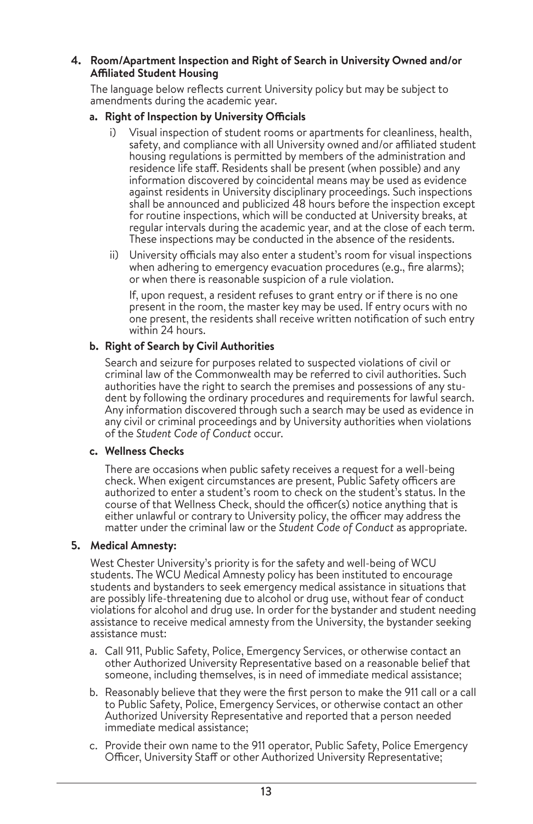### **4. Room/Apartment Inspection and Right of Search in University Owned and/or Affiliated Student Housing**

The language below reflects current University policy but may be subject to amendments during the academic year.

### **a. Right of Inspection by University Officials**

- i) Visual inspection of student rooms or apartments for cleanliness, health, safety, and compliance with all University owned and/or affiliated student housing regulations is permitted by members of the administration and residence life staff. Residents shall be present (when possible) and any information discovered by coincidental means may be used as evidence against residents in University disciplinary proceedings. Such inspections shall be announced and publicized 48 hours before the inspection except for routine inspections, which will be conducted at University breaks, at regular intervals during the academic year, and at the close of each term. These inspections may be conducted in the absence of the residents.
- ii) University officials may also enter a student's room for visual inspections when adhering to emergency evacuation procedures (e.g., fire alarms); or when there is reasonable suspicion of a rule violation.

If, upon request, a resident refuses to grant entry or if there is no one present in the room, the master key may be used. If entry ocurs with no one present, the residents shall receive written notification of such entry within 24 hours.

### **b. Right of Search by Civil Authorities**

Search and seizure for purposes related to suspected violations of civil or criminal law of the Commonwealth may be referred to civil authorities. Such authorities have the right to search the premises and possessions of any student by following the ordinary procedures and requirements for lawful search. Any information discovered through such a search may be used as evidence in any civil or criminal proceedings and by University authorities when violations of the *Student Code of Conduct* occur.

### **c. Wellness Checks**

There are occasions when public safety receives a request for a well-being check. When exigent circumstances are present, Public Safety officers are authorized to enter a student's room to check on the student's status. In the course of that Wellness Check, should the officer(s) notice anything that is either unlawful or contrary to University policy, the officer may address the matter under the criminal law or the *Student Code of Conduct* as appropriate.

### **5. Medical Amnesty:**

West Chester University's priority is for the safety and well-being of WCU students. The WCU Medical Amnesty policy has been instituted to encourage students and bystanders to seek emergency medical assistance in situations that are possibly life-threatening due to alcohol or drug use, without fear of conduct violations for alcohol and drug use. In order for the bystander and student needing assistance to receive medical amnesty from the University, the bystander seeking assistance must:

- a. Call 911, Public Safety, Police, Emergency Services, or otherwise contact an other Authorized University Representative based on a reasonable belief that someone, including themselves, is in need of immediate medical assistance;
- b. Reasonably believe that they were the first person to make the 911 call or a call to Public Safety, Police, Emergency Services, or otherwise contact an other Authorized University Representative and reported that a person needed immediate medical assistance;
- c. Provide their own name to the 911 operator, Public Safety, Police Emergency Officer, University Staff or other Authorized University Representative;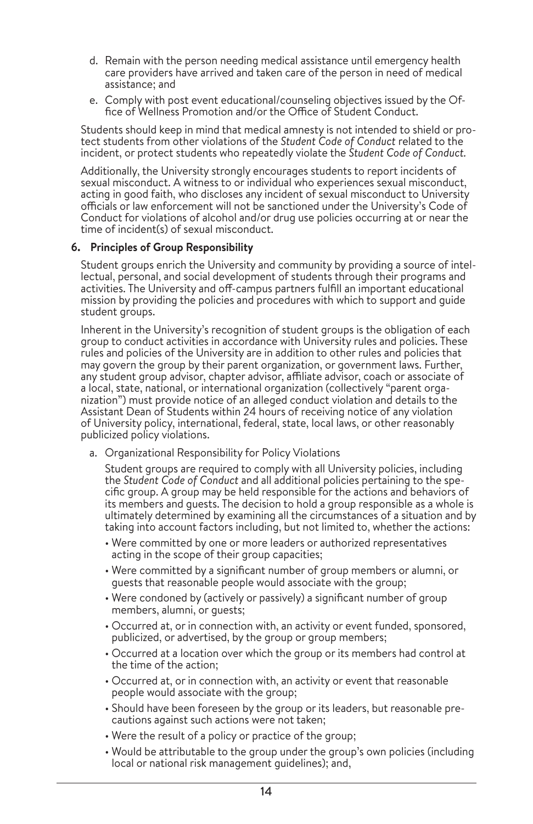- d. Remain with the person needing medical assistance until emergency health care providers have arrived and taken care of the person in need of medical assistance; and
- e. Comply with post event educational/counseling objectives issued by the Of fice of Wellness Promotion and/or the Office of Student Conduct.

Students should keep in mind that medical amnesty is not intended to shield or pro tect students from other violations of the *Student Code of Conduct* related to the incident, or protect students who repeatedly violate the *Student Code of Conduct.*

Additionally, the University strongly encourages students to report incidents of sexual misconduct. A witness to or individual who experiences sexual misconduct, acting in good faith, who discloses any incident of sexual misconduct to University officials or law enforcement will not be sanctioned under the University's Code of Conduct for violations of alcohol and/or drug use policies occurring at or near the time of incident(s) of sexual misconduct.

### **6. Principles of Group Responsibility**

Student groups enrich the University and community by providing a source of intel lectual, personal, and social development of students through their programs and activities. The University and off-campus partners fulfill an important educational mission by providing the policies and procedures with which to support and guide student groups.

Inherent in the University's recognition of student groups is the obligation of each group to conduct activities in accordance with University rules and policies. These rules and policies of the University are in addition to other rules and policies that may govern the group by their parent organization, or government laws. Further, any student group advisor, chapter advisor, affiliate advisor, coach or associate of a local, state, national, or international organization (collectively "parent orga nization") must provide notice of an alleged conduct violation and details to the Assistant Dean of Students within 24 hours of receiving notice of any violation of University policy, international, federal, state, local laws, or other reasonably publicized policy violations.

a. Organizational Responsibility for Policy Violations

Student groups are required to comply with all University policies, including the *Student Code of Conduct* and all additional policies pertaining to the spe cific group. A group may be held responsible for the actions and behaviors of its members and guests. The decision to hold a group responsible as a whole is ultimately determined by examining all the circumstances of a situation and by taking into account factors including, but not limited to, whether the actions:

- Were committed by one or more leaders or authorized representatives acting in the scope of their group capacities;
- Were committed by a significant number of group members or alumni, or guests that reasonable people would associate with the group;
- Were condoned by (actively or passively) a significant number of group members, alumni, or guests;
- Occurred at, or in connection with, an activity or event funded, sponsored, publicized, or advertised, by the group or group members;
- Occurred at a location over which the group or its members had control at the time of the action;
- Occurred at, or in connection with, an activity or event that reasonable people would associate with the group;
- Should have been foreseen by the group or its leaders, but reasonable pre cautions against such actions were not taken;
- Were the result of a policy or practice of the group;
- Would be attributable to the group under the group's own policies (including local or national risk management guidelines); and,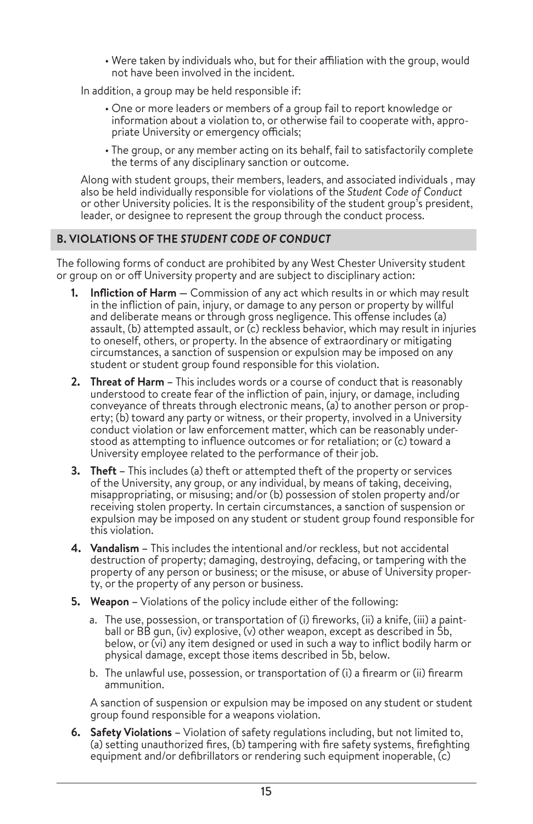• Were taken by individuals who, but for their affiliation with the group, would not have been involved in the incident.

In addition, a group may be held responsible if:

- One or more leaders or members of a group fail to report knowledge or information about a violation to, or otherwise fail to cooperate with, appropriate University or emergency officials;
- The group, or any member acting on its behalf, fail to satisfactorily complete the terms of any disciplinary sanction or outcome.

Along with student groups, their members, leaders, and associated individuals , may also be held individually responsible for violations of the *Student Code of Conduct*  or other University policies. It is the responsibility of the student group's president, leader, or designee to represent the group through the conduct process.

# **B. VIOLATIONS OF THE** *STUDENT CODE OF CONDUCT*

The following forms of conduct are prohibited by any West Chester University student or group on or off University property and are subject to disciplinary action:

- **1. Infliction of Harm** Commission of any act which results in or which may result in the infliction of pain, injury, or damage to any person or property by willful and deliberate means or through gross negligence. This offense includes (a) assault, (b) attempted assault, or (c) reckless behavior, which may result in injuries to oneself, others, or property. In the absence of extraordinary or mitigating circumstances, a sanction of suspension or expulsion may be imposed on any student or student group found responsible for this violation.
- **2. Threat of Harm** This includes words or a course of conduct that is reasonably understood to create fear of the infliction of pain, injury, or damage, including conveyance of threats through electronic means, (a) to another person or property; (b) toward any party or witness, or their property, involved in a University conduct violation or law enforcement matter, which can be reasonably understood as attempting to influence outcomes or for retaliation; or (c) toward a University employee related to the performance of their job.
- **3. Theft** This includes (a) theft or attempted theft of the property or services of the University, any group, or any individual, by means of taking, deceiving, misappropriating, or misusing; and/or (b) possession of stolen property and/or receiving stolen property. In certain circumstances, a sanction of suspension or expulsion may be imposed on any student or student group found responsible for this violation.
- **4. Vandalism** This includes the intentional and/or reckless, but not accidental destruction of property; damaging, destroying, defacing, or tampering with the property of any person or business; or the misuse, or abuse of University property, or the property of any person or business.
- **5. Weapon** Violations of the policy include either of the following:
	- a. The use, possession, or transportation of (i) fireworks, (ii) a knife, (iii) a paintball or BB gun, (iv) explosive, (v) other weapon, except as described in 5b, below, or (vi) any item designed or used in such a way to inflict bodily harm or physical damage, except those items described in 5b, below.
	- b. The unlawful use, possession, or transportation of (i) a firearm or (ii) firearm ammunition.

A sanction of suspension or expulsion may be imposed on any student or student group found responsible for a weapons violation.

**6. Safety Violations –** Violation of safety regulations including, but not limited to, (a) setting unauthorized fires, (b) tampering with fire safety systems, firefighting equipment and/or defibrillators or rendering such equipment inoperable, (c)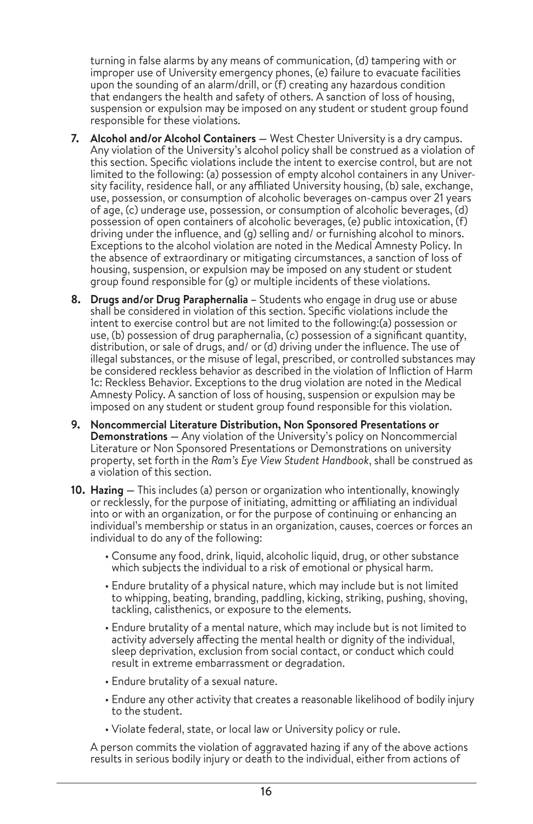turning in false alarms by any means of communication, (d) tampering with or improper use of University emergency phones, (e) failure to evacuate facilities upon the sounding of an alarm/drill, or (f) creating any hazardous condition that endangers the health and safety of others. A sanction of loss of housing, suspension or expulsion may be imposed on any student or student group found responsible for these violations.

- **7. Alcohol and/or Alcohol Containers** West Chester University is a dry campus. Any violation of the University's alcohol policy shall be construed as a violation of this section. Specific violations include the intent to exercise control, but are not limited to the following: (a) possession of empty alcohol containers in any University facility, residence hall, or any affiliated University housing, (b) sale, exchange, use, possession, or consumption of alcoholic beverages on-campus over 21 years of age, (c) underage use, possession, or consumption of alcoholic beverages, (d) possession of open containers of alcoholic beverages, (e) public intoxication, (f) driving under the influence, and (g) selling and/ or furnishing alcohol to minors. Exceptions to the alcohol violation are noted in the Medical Amnesty Policy. In the absence of extraordinary or mitigating circumstances, a sanction of loss of housing, suspension, or expulsion may be imposed on any student or student group found responsible for (g) or multiple incidents of these violations.
- **8. Drugs and/or Drug Paraphernalia** Students who engage in drug use or abuse shall be considered in violation of this section. Specific violations include the intent to exercise control but are not limited to the following:(a) possession or use, (b) possession of drug paraphernalia, (c) possession of a significant quantity, distribution, or sale of drugs, and/ or (d) driving under the influence. The use of illegal substances, or the misuse of legal, prescribed, or controlled substances may be considered reckless behavior as described in the violation of Infliction of Harm 1c: Reckless Behavior. Exceptions to the drug violation are noted in the Medical Amnesty Policy. A sanction of loss of housing, suspension or expulsion may be imposed on any student or student group found responsible for this violation.
- **9. Noncommercial Literature Distribution, Non Sponsored Presentations or Demonstrations —** Any violation of the University's policy on Noncommercial Literature or Non Sponsored Presentations or Demonstrations on university property, set forth in the *Ram's Eye View Student Handbook*, shall be construed as a violation of this section.
- **10. Hazing** This includes (a) person or organization who intentionally, knowingly or recklessly, for the purpose of initiating, admitting or affiliating an individual into or with an organization, or for the purpose of continuing or enhancing an individual's membership or status in an organization, causes, coerces or forces an individual to do any of the following:
	- Consume any food, drink, liquid, alcoholic liquid, drug, or other substance which subjects the individual to a risk of emotional or physical harm.
	- Endure brutality of a physical nature, which may include but is not limited to whipping, beating, branding, paddling, kicking, striking, pushing, shoving, tackling, calisthenics, or exposure to the elements.
	- Endure brutality of a mental nature, which may include but is not limited to activity adversely affecting the mental health or dignity of the individual, sleep deprivation, exclusion from social contact, or conduct which could result in extreme embarrassment or degradation.
	- Endure brutality of a sexual nature.
	- Endure any other activity that creates a reasonable likelihood of bodily injury to the student.
	- Violate federal, state, or local law or University policy or rule.

A person commits the violation of aggravated hazing if any of the above actions results in serious bodily injury or death to the individual, either from actions of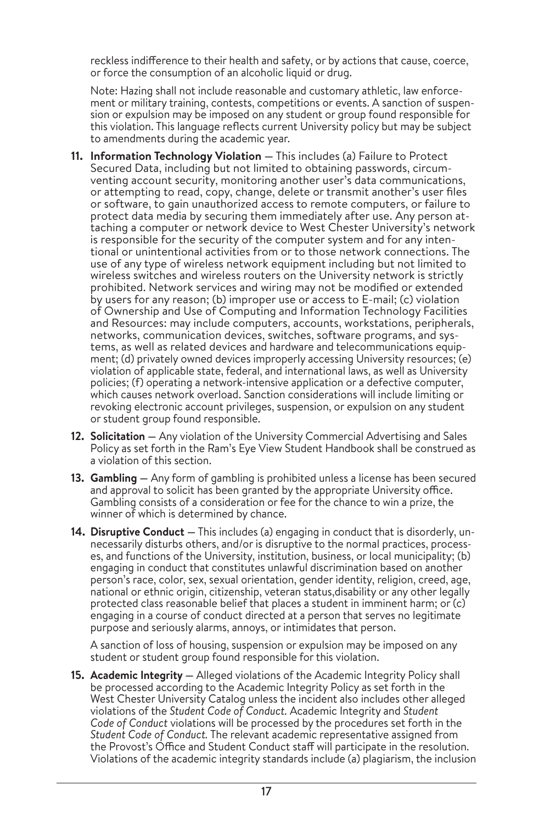reckless indifference to their health and safety, or by actions that cause, coerce, or force the consumption of an alcoholic liquid or drug.

Note: Hazing shall not include reasonable and customary athletic, law enforcement or military training, contests, competitions or events. A sanction of suspension or expulsion may be imposed on any student or group found responsible for this violation. This language reflects current University policy but may be subject to amendments during the academic year.

- **11. Information Technology Violation —** This includes (a) Failure to Protect Secured Data, including but not limited to obtaining passwords, circumventing account security, monitoring another user's data communications, or attempting to read, copy, change, delete or transmit another's user files or software, to gain unauthorized access to remote computers, or failure to protect data media by securing them immediately after use. Any person attaching a computer or network device to West Chester University's network is responsible for the security of the computer system and for any intentional or unintentional activities from or to those network connections. The use of any type of wireless network equipment including but not limited to wireless switches and wireless routers on the University network is strictly prohibited. Network services and wiring may not be modified or extended by users for any reason; (b) improper use or access to E-mail; (c) violation of Ownership and Use of Computing and Information Technology Facilities and Resources: may include computers, accounts, workstations, peripherals, networks, communication devices, switches, software programs, and systems, as well as related devices and hardware and telecommunications equipment; (d) privately owned devices improperly accessing University resources; (e) violation of applicable state, federal, and international laws, as well as University policies; (f) operating a network-intensive application or a defective computer, which causes network overload. Sanction considerations will include limiting or revoking electronic account privileges, suspension, or expulsion on any student or student group found responsible.
- **12. Solicitation —** Any violation of the University Commercial Advertising and Sales Policy as set forth in the Ram's Eye View Student Handbook shall be construed as a violation of this section.
- **13. Gambling —** Any form of gambling is prohibited unless a license has been secured and approval to solicit has been granted by the appropriate University office. Gambling consists of a consideration or fee for the chance to win a prize, the winner of which is determined by chance.
- **14. Disruptive Conduct —** This includes (a) engaging in conduct that is disorderly, unnecessarily disturbs others, and/or is disruptive to the normal practices, processes, and functions of the University, institution, business, or local municipality; (b) engaging in conduct that constitutes unlawful discrimination based on another person's race, color, sex, sexual orientation, gender identity, religion, creed, age, national or ethnic origin, citizenship, veteran status,disability or any other legally protected class reasonable belief that places a student in imminent harm; or  $(c)$ engaging in a course of conduct directed at a person that serves no legitimate purpose and seriously alarms, annoys, or intimidates that person.

A sanction of loss of housing, suspension or expulsion may be imposed on any student or student group found responsible for this violation.

**15. Academic Integrity —** Alleged violations of the Academic Integrity Policy shall be processed according to the Academic Integrity Policy as set forth in the West Chester University Catalog unless the incident also includes other alleged violations of the *Student Code of Conduct.* Academic Integrity and *Student Code of Conduct* violations will be processed by the procedures set forth in the *Student Code of Conduct.* The relevant academic representative assigned from the Provost's Office and Student Conduct staff will participate in the resolution. Violations of the academic integrity standards include (a) plagiarism, the inclusion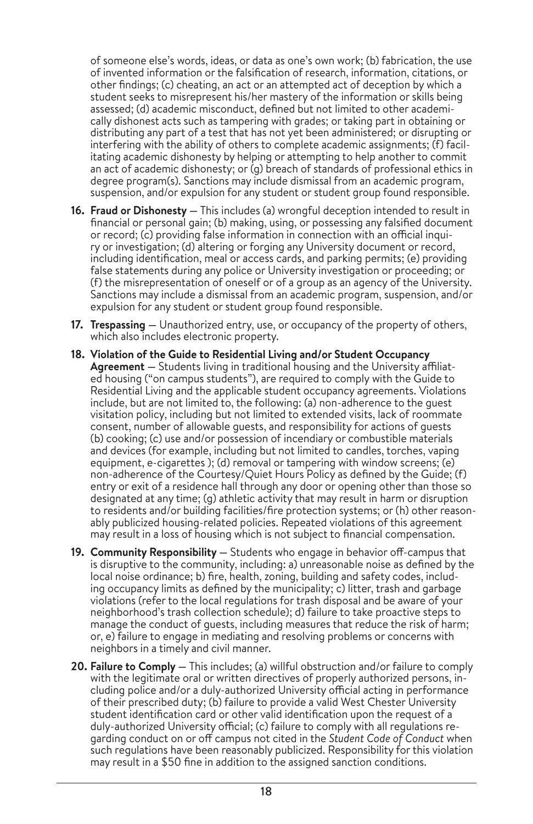of someone else's words, ideas, or data as one's own work; (b) fabrication, the use of invented information or the falsification of research, information, citations, or other findings; (c) cheating, an act or an attempted act of deception by which a student seeks to misrepresent his/her mastery of the information or skills being assessed; (d) academic misconduct, defined but not limited to other academically dishonest acts such as tampering with grades; or taking part in obtaining or distributing any part of a test that has not yet been administered; or disrupting or interfering with the ability of others to complete academic assignments; (f) facilitating academic dishonesty by helping or attempting to help another to commit an act of academic dishonesty; or (g) breach of standards of professional ethics in degree program(s). Sanctions may include dismissal from an academic program, suspension, and/or expulsion for any student or student group found responsible.

- **16. Fraud or Dishonesty —** This includes (a) wrongful deception intended to result in financial or personal gain; (b) making, using, or possessing any falsified document or record; (c) providing false information in connection with an official inquiry or investigation; (d) altering or forging any University document or record, including identification, meal or access cards, and parking permits; (e) providing false statements during any police or University investigation or proceeding; or (f) the misrepresentation of oneself or of a group as an agency of the University. Sanctions may include a dismissal from an academic program, suspension, and/or expulsion for any student or student group found responsible.
- **17. Trespassing** Unauthorized entry, use, or occupancy of the property of others, which also includes electronic property.
- **18. Violation of the Guide to Residential Living and/or Student Occupancy Agreement —** Students living in traditional housing and the University affiliated housing ("on campus students"), are required to comply with the Guide to Residential Living and the applicable student occupancy agreements. Violations include, but are not limited to, the following: (a) non-adherence to the guest visitation policy, including but not limited to extended visits, lack of roommate consent, number of allowable guests, and responsibility for actions of guests (b) cooking; (c) use and/or possession of incendiary or combustible materials and devices (for example, including but not limited to candles, torches, vaping equipment, e-cigarettes ); (d) removal or tampering with window screens; (e) non-adherence of the Courtesy/Quiet Hours Policy as defined by the Guide; (f) entry or exit of a residence hall through any door or opening other than those so designated at any time; (g) athletic activity that may result in harm or disruption to residents and/or building facilities/fire protection systems; or (h) other reasonably publicized housing-related policies. Repeated violations of this agreement may result in a loss of housing which is not subject to financial compensation.
- **19. Community Responsibility** Students who engage in behavior off-campus that is disruptive to the community, including: a) unreasonable noise as defined by the local noise ordinance; b) fire, health, zoning, building and safety codes, including occupancy limits as defined by the municipality; c) litter, trash and garbage violations (refer to the local regulations for trash disposal and be aware of your neighborhood's trash collection schedule); d) failure to take proactive steps to manage the conduct of guests, including measures that reduce the risk of harm; or, e) failure to engage in mediating and resolving problems or concerns with neighbors in a timely and civil manner.
- **20. Failure to Comply** This includes; (a) willful obstruction and/or failure to comply with the legitimate oral or written directives of properly authorized persons, including police and/or a duly-authorized University official acting in performance of their prescribed duty; (b) failure to provide a valid West Chester University student identification card or other valid identification upon the request of a duly-authorized University official; (c) failure to comply with all regulations regarding conduct on or off campus not cited in the *Student Code of Conduct* when such regulations have been reasonably publicized. Responsibility for this violation may result in a \$50 fine in addition to the assigned sanction conditions.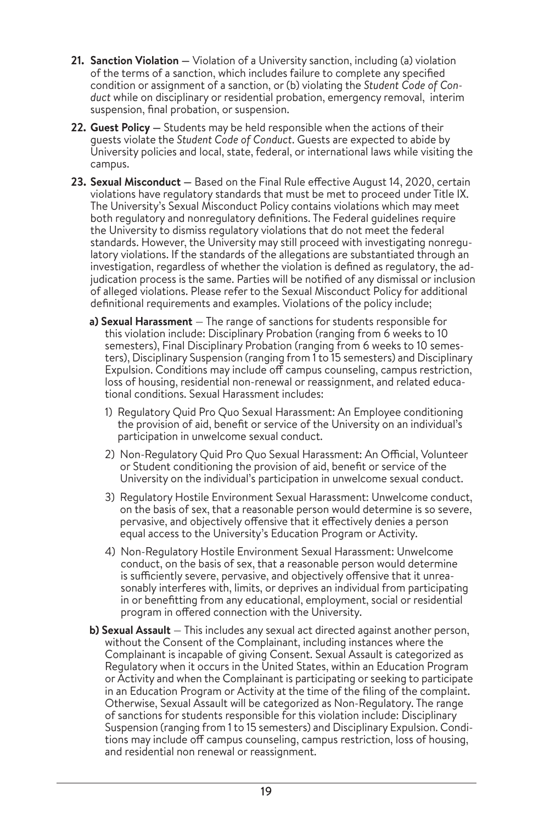- **21. Sanction Violation** Violation of a University sanction, including (a) violation of the terms of a sanction, which includes failure to complete any specified condition or assignment of a sanction, or (b) violating the *Student Code of Conduct* while on disciplinary or residential probation, emergency removal, interim suspension, final probation, or suspension.
- **22. Guest Policy** Students may be held responsible when the actions of their guests violate the *Student Code of Conduct*. Guests are expected to abide by University policies and local, state, federal, or international laws while visiting the campus.
- **23. Sexual Misconduct** Based on the Final Rule effective August 14, 2020, certain violations have regulatory standards that must be met to proceed under Title IX. The University's Sexual Misconduct Policy contains violations which may meet both regulatory and nonregulatory definitions. The Federal guidelines require the University to dismiss regulatory violations that do not meet the federal standards. However, the University may still proceed with investigating nonregulatory violations. If the standards of the allegations are substantiated through an investigation, regardless of whether the violation is defined as regulatory, the adjudication process is the same. Parties will be notified of any dismissal or inclusion of alleged violations. Please refer to the Sexual Misconduct Policy for additional definitional requirements and examples. Violations of the policy include;
	- **a) Sexual Harassment**  The range of sanctions for students responsible for this violation include: Disciplinary Probation (ranging from 6 weeks to 10 semesters), Final Disciplinary Probation (ranging from 6 weeks to 10 semesters), Disciplinary Suspension (ranging from 1 to 15 semesters) and Disciplinary Expulsion. Conditions may include off campus counseling, campus restriction, loss of housing, residential non-renewal or reassignment, and related educational conditions. Sexual Harassment includes:
		- 1) Regulatory Quid Pro Quo Sexual Harassment: An Employee conditioning the provision of aid, benefit or service of the University on an individual's participation in unwelcome sexual conduct.
		- 2) Non-Regulatory Quid Pro Quo Sexual Harassment: An Official, Volunteer or Student conditioning the provision of aid, benefit or service of the University on the individual's participation in unwelcome sexual conduct.
		- 3) Regulatory Hostile Environment Sexual Harassment: Unwelcome conduct, on the basis of sex, that a reasonable person would determine is so severe, pervasive, and objectively offensive that it effectively denies a person equal access to the University's Education Program or Activity.
		- 4) Non-Regulatory Hostile Environment Sexual Harassment: Unwelcome conduct, on the basis of sex, that a reasonable person would determine is sufficiently severe, pervasive, and objectively offensive that it unreasonably interferes with, limits, or deprives an individual from participating in or benefitting from any educational, employment, social or residential program in offered connection with the University.
	- **b) Sexual Assault**  This includes any sexual act directed against another person, without the Consent of the Complainant, including instances where the Complainant is incapable of giving Consent. Sexual Assault is categorized as Regulatory when it occurs in the United States, within an Education Program or Activity and when the Complainant is participating or seeking to participate in an Education Program or Activity at the time of the filing of the complaint. Otherwise, Sexual Assault will be categorized as Non-Regulatory. The range of sanctions for students responsible for this violation include: Disciplinary Suspension (ranging from 1 to 15 semesters) and Disciplinary Expulsion. Conditions may include off campus counseling, campus restriction, loss of housing, and residential non renewal or reassignment.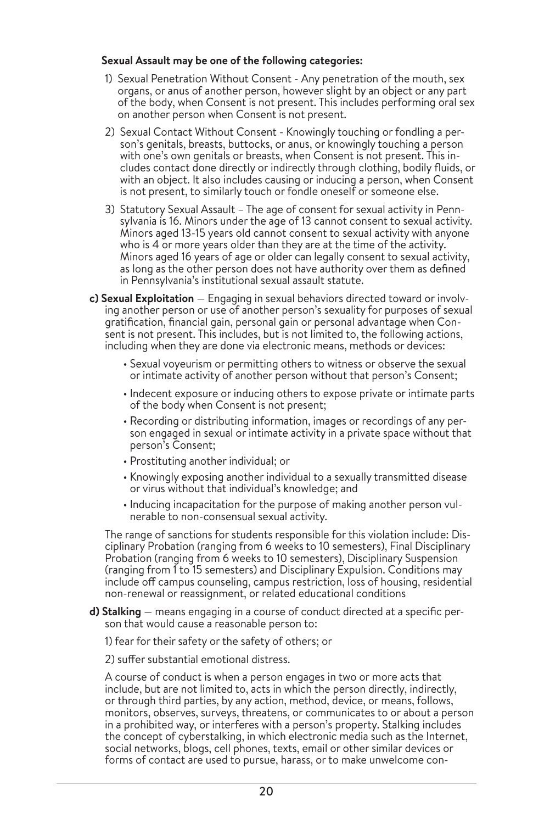### **Sexual Assault may be one of the following categories:**

- 1) Sexual Penetration Without Consent Any penetration of the mouth, sex organs, or anus of another person, however slight by an object or any part of the body, when Consent is not present. This includes performing oral sex on another person when Consent is not present.
- 2) Sexual Contact Without Consent Knowingly touching or fondling a person's genitals, breasts, buttocks, or anus, or knowingly touching a person with one's own genitals or breasts, when Consent is not present. This includes contact done directly or indirectly through clothing, bodily fluids, or with an object. It also includes causing or inducing a person, when Consent is not present, to similarly touch or fondle oneself or someone else.
- 3) Statutory Sexual Assault The age of consent for sexual activity in Pennsylvania is 16. Minors under the age of 13 cannot consent to sexual activity. Minors aged 13-15 years old cannot consent to sexual activity with anyone who is 4 or more years older than they are at the time of the activity. Minors aged 16 years of age or older can legally consent to sexual activity, as long as the other person does not have authority over them as defined in Pennsylvania's institutional sexual assault statute.
- **c) Sexual Exploitation**  Engaging in sexual behaviors directed toward or involving another person or use of another person's sexuality for purposes of sexual gratification, financial gain, personal gain or personal advantage when Consent is not present. This includes, but is not limited to, the following actions, including when they are done via electronic means, methods or devices:
	- Sexual voyeurism or permitting others to witness or observe the sexual or intimate activity of another person without that person's Consent;
	- Indecent exposure or inducing others to expose private or intimate parts of the body when Consent is not present;
	- Recording or distributing information, images or recordings of any person engaged in sexual or intimate activity in a private space without that person's Consent;
	- Prostituting another individual; or
	- Knowingly exposing another individual to a sexually transmitted disease or virus without that individual's knowledge; and
	- Inducing incapacitation for the purpose of making another person vulnerable to non-consensual sexual activity.

The range of sanctions for students responsible for this violation include: Disciplinary Probation (ranging from 6 weeks to 10 semesters), Final Disciplinary Probation (ranging from 6 weeks to 10 semesters), Disciplinary Suspension (ranging from 1 to 15 semesters) and Disciplinary Expulsion. Conditions may include off campus counseling, campus restriction, loss of housing, residential non-renewal or reassignment, or related educational conditions

**d) Stalking** — means engaging in a course of conduct directed at a specific person that would cause a reasonable person to:

1) fear for their safety or the safety of others; or

2) suffer substantial emotional distress.

A course of conduct is when a person engages in two or more acts that include, but are not limited to, acts in which the person directly, indirectly, or through third parties, by any action, method, device, or means, follows, monitors, observes, surveys, threatens, or communicates to or about a person in a prohibited way, or interferes with a person's property. Stalking includes the concept of cyberstalking, in which electronic media such as the Internet, social networks, blogs, cell phones, texts, email or other similar devices or forms of contact are used to pursue, harass, or to make unwelcome con-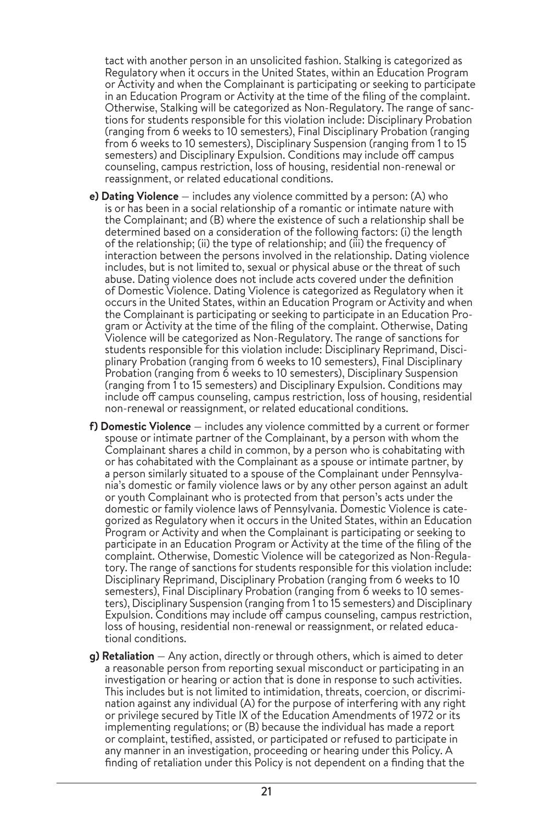tact with another person in an unsolicited fashion. Stalking is categorized as Regulatory when it occurs in the United States, within an Education Program or Activity and when the Complainant is participating or seeking to participate in an Education Program or Activity at the time of the filing of the complaint. Otherwise, Stalking will be categorized as Non-Regulatory. The range of sanctions for students responsible for this violation include: Disciplinary Probation (ranging from 6 weeks to 10 semesters), Final Disciplinary Probation (ranging from 6 weeks to 10 semesters), Disciplinary Suspension (ranging from 1 to 15 semesters) and Disciplinary Expulsion. Conditions may include off campus counseling, campus restriction, loss of housing, residential non-renewal or reassignment, or related educational conditions.

- **e) Dating Violence**  includes any violence committed by a person: (A) who is or has been in a social relationship of a romantic or intimate nature with the Complainant; and (B) where the existence of such a relationship shall be determined based on a consideration of the following factors: (i) the length of the relationship; (ii) the type of relationship; and (iii) the frequency of interaction between the persons involved in the relationship. Dating violence includes, but is not limited to, sexual or physical abuse or the threat of such abuse. Dating violence does not include acts covered under the definition of Domestic Violence. Dating Violence is categorized as Regulatory when it occurs in the United States, within an Education Program or Activity and when the Complainant is participating or seeking to participate in an Education Pro gram or Activity at the time of the filing of the complaint. Otherwise, Dating Violence will be categorized as Non-Regulatory. The range of sanctions for students responsible for this violation include: Disciplinary Reprimand, Disci plinary Probation (ranging from 6 weeks to 10 semesters), Final Disciplinary Probation (ranging from 6 weeks to 10 semesters), Disciplinary Suspension (ranging from 1 to 15 semesters) and Disciplinary Expulsion. Conditions may include off campus counseling, campus restriction, loss of housing, residential non-renewal or reassignment, or related educational conditions.
- **f) Domestic Violence**  includes any violence committed by a current or former spouse or intimate partner of the Complainant, by a person with whom the Complainant shares a child in common, by a person who is cohabitating with or has cohabitated with the Complainant as a spouse or intimate partner, by a person similarly situated to a spouse of the Complainant under Pennsylva nia's domestic or family violence laws or by any other person against an adult or youth Complainant who is protected from that person's acts under the domestic or family violence laws of Pennsylvania. Domestic Violence is cate gorized as Regulatory when it occurs in the United States, within an Education Program or Activity and when the Complainant is participating or seeking to participate in an Education Program or Activity at the time of the filing of the complaint. Otherwise, Domestic Violence will be categorized as Non-Regula tory. The range of sanctions for students responsible for this violation include: Disciplinary Reprimand, Disciplinary Probation (ranging from 6 weeks to 10 semesters), Final Disciplinary Probation (ranging from 6 weeks to 10 semesters), Disciplinary Suspension (ranging from 1 to 15 semesters) and Disciplinary Expulsion. Conditions may include off campus counseling, campus restriction, loss of housing, residential non-renewal or reassignment, or related educa tional conditions.
- **g) Retaliation** Any action, directly or through others, which is aimed to deter a reasonable person from reporting sexual misconduct or participating in an investigation or hearing or action that is done in response to such activities. This includes but is not limited to intimidation, threats, coercion, or discrimination against any individual (A) for the purpose of interfering with any right or privilege secured by Title IX of the Education Amendments of 1972 or its implementing regulations; or (B) because the individual has made a report or complaint, testified, assisted, or participated or refused to participate in any manner in an investigation, proceeding or hearing under this Policy. A finding of retaliation under this Policy is not dependent on a finding that the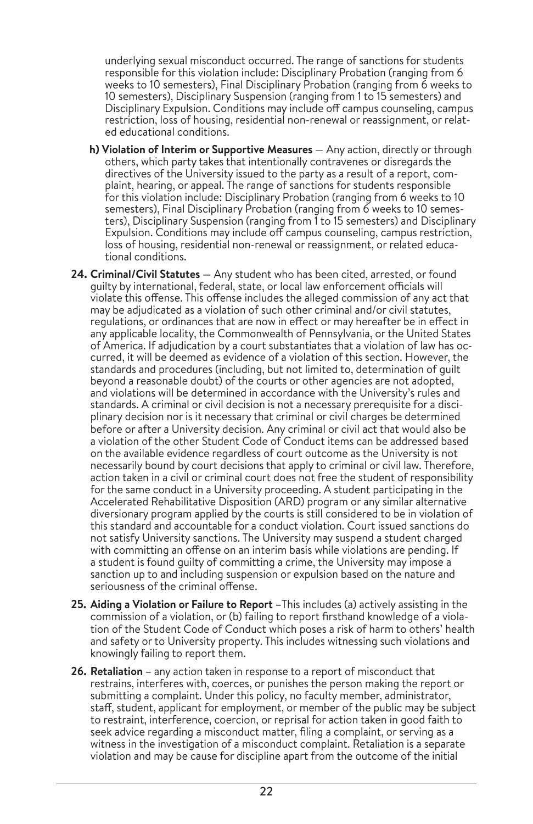underlying sexual misconduct occurred. The range of sanctions for students responsible for this violation include: Disciplinary Probation (ranging from 6 weeks to 10 semesters), Final Disciplinary Probation (ranging from 6 weeks to 10 semesters), Disciplinary Suspension (ranging from 1 to 15 semesters) and Disciplinary Expulsion. Conditions may include off campus counseling, campus restriction, loss of housing, residential non-renewal or reassignment, or related educational conditions.

- **h) Violation of Interim or Supportive Measures**  $-$  Any action, directly or through others, which party takes that intentionally contravenes or disregards the directives of the University issued to the party as a result of a report, complaint, hearing, or appeal. The range of sanctions for students responsible for this violation include: Disciplinary Probation (ranging from 6 weeks to 10 semesters), Final Disciplinary Probation (ranging from 6 weeks to 10 semesters), Disciplinary Suspension (ranging from 1 to 15 semesters) and Disciplinary Expulsion. Conditions may include off campus counseling, campus restriction, loss of housing, residential non-renewal or reassignment, or related educational conditions.
- **24. Criminal/Civil Statutes —** Any student who has been cited, arrested, or found guilty by international, federal, state, or local law enforcement officials will violate this offense. This offense includes the alleged commission of any act that may be adjudicated as a violation of such other criminal and/or civil statutes, regulations, or ordinances that are now in effect or may hereafter be in effect in any applicable locality, the Commonwealth of Pennsylvania, or the United States of America. If adjudication by a court substantiates that a violation of law has occurred, it will be deemed as evidence of a violation of this section. However, the standards and procedures (including, but not limited to, determination of guilt beyond a reasonable doubt) of the courts or other agencies are not adopted, and violations will be determined in accordance with the University's rules and standards. A criminal or civil decision is not a necessary prerequisite for a disciplinary decision nor is it necessary that criminal or civil charges be determined before or after a University decision. Any criminal or civil act that would also be a violation of the other Student Code of Conduct items can be addressed based on the available evidence regardless of court outcome as the University is not necessarily bound by court decisions that apply to criminal or civil law. Therefore, action taken in a civil or criminal court does not free the student of responsibility for the same conduct in a University proceeding. A student participating in the Accelerated Rehabilitative Disposition (ARD) program or any similar alternative diversionary program applied by the courts is still considered to be in violation of this standard and accountable for a conduct violation. Court issued sanctions do not satisfy University sanctions. The University may suspend a student charged with committing an offense on an interim basis while violations are pending. If a student is found guilty of committing a crime, the University may impose a sanction up to and including suspension or expulsion based on the nature and seriousness of the criminal offense.
- **25. Aiding a Violation or Failure to Report –**This includes (a) actively assisting in the commission of a violation, or (b) failing to report firsthand knowledge of a violation of the Student Code of Conduct which poses a risk of harm to others' health and safety or to University property. This includes witnessing such violations and knowingly failing to report them.
- **26. Retaliation –** any action taken in response to a report of misconduct that restrains, interferes with, coerces, or punishes the person making the report or submitting a complaint. Under this policy, no faculty member, administrator, staff, student, applicant for employment, or member of the public may be subject to restraint, interference, coercion, or reprisal for action taken in good faith to seek advice regarding a misconduct matter, filing a complaint, or serving as a witness in the investigation of a misconduct complaint. Retaliation is a separate violation and may be cause for discipline apart from the outcome of the initial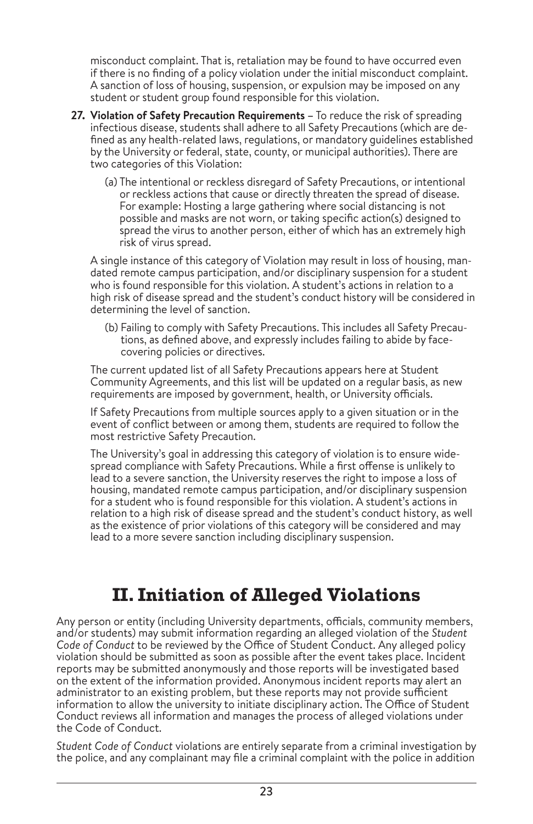misconduct complaint. That is, retaliation may be found to have occurred even if there is no finding of a policy violation under the initial misconduct complaint. A sanction of loss of housing, suspension, or expulsion may be imposed on any student or student group found responsible for this violation.

- **27. Violation of Safety Precaution Requirements –** To reduce the risk of spreading infectious disease, students shall adhere to all Safety Precautions (which are defined as any health-related laws, regulations, or mandatory guidelines established by the University or federal, state, county, or municipal authorities). There are two categories of this Violation:
	- (a) The intentional or reckless disregard of Safety Precautions, or intentional or reckless actions that cause or directly threaten the spread of disease. For example: Hosting a large gathering where social distancing is not possible and masks are not worn, or taking specific action(s) designed to spread the virus to another person, either of which has an extremely high risk of virus spread.

A single instance of this category of Violation may result in loss of housing, mandated remote campus participation, and/or disciplinary suspension for a student who is found responsible for this violation. A student's actions in relation to a high risk of disease spread and the student's conduct history will be considered in determining the level of sanction.

(b) Failing to comply with Safety Precautions. This includes all Safety Precautions, as defined above, and expressly includes failing to abide by facecovering policies or directives.

The current updated list of all Safety Precautions appears here at Student Community Agreements, and this list will be updated on a regular basis, as new requirements are imposed by government, health, or University officials.

If Safety Precautions from multiple sources apply to a given situation or in the event of conflict between or among them, students are required to follow the most restrictive Safety Precaution.

The University's goal in addressing this category of violation is to ensure widespread compliance with Safety Precautions. While a first offense is unlikely to lead to a severe sanction, the University reserves the right to impose a loss of housing, mandated remote campus participation, and/or disciplinary suspension for a student who is found responsible for this violation. A student's actions in relation to a high risk of disease spread and the student's conduct history, as well as the existence of prior violations of this category will be considered and may lead to a more severe sanction including disciplinary suspension.

# **II. Initiation of Alleged Violations**

Any person or entity (including University departments, officials, community members, and/or students) may submit information regarding an alleged violation of the *Student Code of Conduct* to be reviewed by the Office of Student Conduct. Any alleged policy violation should be submitted as soon as possible after the event takes place. Incident reports may be submitted anonymously and those reports will be investigated based on the extent of the information provided. Anonymous incident reports may alert an administrator to an existing problem, but these reports may not provide sufficient information to allow the university to initiate disciplinary action. The Office of Student Conduct reviews all information and manages the process of alleged violations under the Code of Conduct.

*Student Code of Conduct* violations are entirely separate from a criminal investigation by the police, and any complainant may file a criminal complaint with the police in addition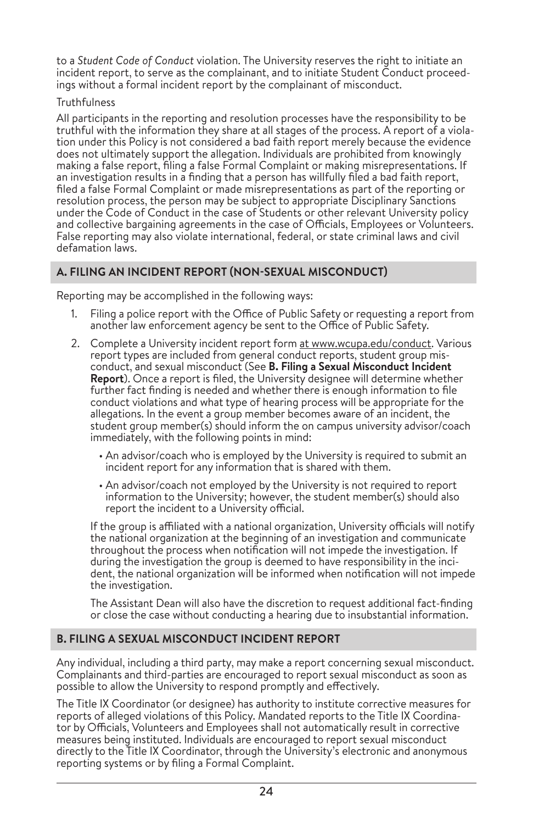to a *Student Code of Conduct* violation. The University reserves the right to initiate an incident report, to serve as the complainant, and to initiate Student Conduct proceedings without a formal incident report by the complainant of misconduct.

### **Truthfulness**

All participants in the reporting and resolution processes have the responsibility to be truthful with the information they share at all stages of the process. A report of a violation under this Policy is not considered a bad faith report merely because the evidence does not ultimately support the allegation. Individuals are prohibited from knowingly making a false report, filing a false Formal Complaint or making misrepresentations. If an investigation results in a finding that a person has willfully filed a bad faith report, filed a false Formal Complaint or made misrepresentations as part of the reporting or resolution process, the person may be subject to appropriate Disciplinary Sanctions under the Code of Conduct in the case of Students or other relevant University policy and collective bargaining agreements in the case of Officials, Employees or Volunteers. False reporting may also violate international, federal, or state criminal laws and civil defamation laws.

# **A. FILING AN INCIDENT REPORT (NON-SEXUAL MISCONDUCT)**

Reporting may be accomplished in the following ways:

- 1. Filing a police report with the Office of Public Safety or requesting a report from another law enforcement agency be sent to the Office of Public Safety.
- 2. Complete a University incident report form at www.wcupa.edu/conduct. Various report types are included from general conduct reports, student group mis conduct, and sexual misconduct (See **B. Filing a Sexual Misconduct Incident Report**). Once a report is filed, the University designee will determine whether further fact finding is needed and whether there is enough information to file conduct violations and what type of hearing process will be appropriate for the allegations. In the event a group member becomes aware of an incident, the student group member(s) should inform the on campus university advisor/coach immediately, with the following points in mind:
	- An advisor/coach who is employed by the University is required to submit an incident report for any information that is shared with them.
	- An advisor/coach not employed by the University is not required to report information to the University; however, the student member(s) should also report the incident to a University official.

If the group is affiliated with a national organization, University officials will notify the national organization at the beginning of an investigation and communicate throughout the process when notification will not impede the investigation. If during the investigation the group is deemed to have responsibility in the incident, the national organization will be informed when notification will not impede the investigation.

The Assistant Dean will also have the discretion to request additional fact-finding or close the case without conducting a hearing due to insubstantial information.

# **B. FILING A SEXUAL MISCONDUCT INCIDENT REPORT**

Any individual, including a third party, may make a report concerning sexual misconduct. Complainants and third-parties are encouraged to report sexual misconduct as soon as possible to allow the University to respond promptly and effectively.

The Title IX Coordinator (or designee) has authority to institute corrective measures for reports of alleged violations of this Policy. Mandated reports to the Title IX Coordinator by Officials, Volunteers and Employees shall not automatically result in corrective measures being instituted. Individuals are encouraged to report sexual misconduct directly to the Title IX Coordinator, through the University's electronic and anonymous reporting systems or by filing a Formal Complaint.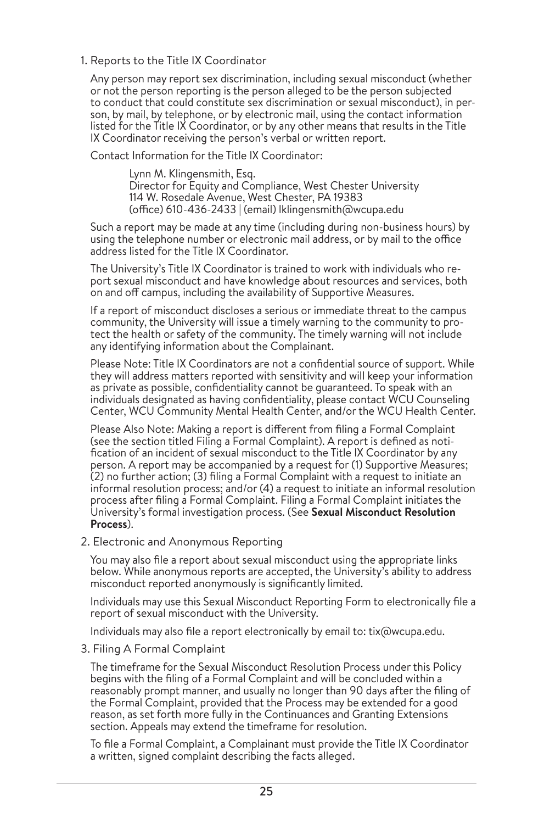1. Reports to the Title IX Coordinator

Any person may report sex discrimination, including sexual misconduct (whether or not the person reporting is the person alleged to be the person subjected to conduct that could constitute sex discrimination or sexual misconduct), in person, by mail, by telephone, or by electronic mail, using the contact information listed for the Title IX Coordinator, or by any other means that results in the Title IX Coordinator receiving the person's verbal or written report.

Contact Information for the Title IX Coordinator:

Lynn M. Klingensmith, Esq. Director for Equity and Compliance, West Chester University 114 W. Rosedale Avenue, West Chester, PA 19383 (office) 610-436-2433 | (email) lklingensmith@wcupa.edu

Such a report may be made at any time (including during non-business hours) by using the telephone number or electronic mail address, or by mail to the office address listed for the Title IX Coordinator.

The University's Title IX Coordinator is trained to work with individuals who report sexual misconduct and have knowledge about resources and services, both on and off campus, including the availability of Supportive Measures.

If a report of misconduct discloses a serious or immediate threat to the campus community, the University will issue a timely warning to the community to protect the health or safety of the community. The timely warning will not include any identifying information about the Complainant.

Please Note: Title IX Coordinators are not a confidential source of support. While they will address matters reported with sensitivity and will keep your information as private as possible, confidentiality cannot be guaranteed. To speak with an individuals designated as having confidentiality, please contact WCU Counseling Center, WCU Community Mental Health Center, and/or the WCU Health Center.

Please Also Note: Making a report is different from filing a Formal Complaint (see the section titled Filing a Formal Complaint). A report is defined as notification of an incident of sexual misconduct to the Title IX Coordinator by any person. A report may be accompanied by a request for (1) Supportive Measures; (2) no further action; (3) filing a Formal Complaint with a request to initiate an informal resolution process; and/or (4) a request to initiate an informal resolution process after filing a Formal Complaint. Filing a Formal Complaint initiates the University's formal investigation process. (See **Sexual Misconduct Resolution Process**).

2. Electronic and Anonymous Reporting

You may also file a report about sexual misconduct using the appropriate links below. While anonymous reports are accepted, the University's ability to address misconduct reported anonymously is significantly limited.

Individuals may use this Sexual Misconduct Reporting Form to electronically file a report of sexual misconduct with the University.

Individuals may also file a report electronically by email to: tix@wcupa.edu.

3. Filing A Formal Complaint

The timeframe for the Sexual Misconduct Resolution Process under this Policy begins with the filing of a Formal Complaint and will be concluded within a reasonably prompt manner, and usually no longer than 90 days after the filing of the Formal Complaint, provided that the Process may be extended for a good reason, as set forth more fully in the Continuances and Granting Extensions section. Appeals may extend the timeframe for resolution.

To file a Formal Complaint, a Complainant must provide the Title IX Coordinator a written, signed complaint describing the facts alleged.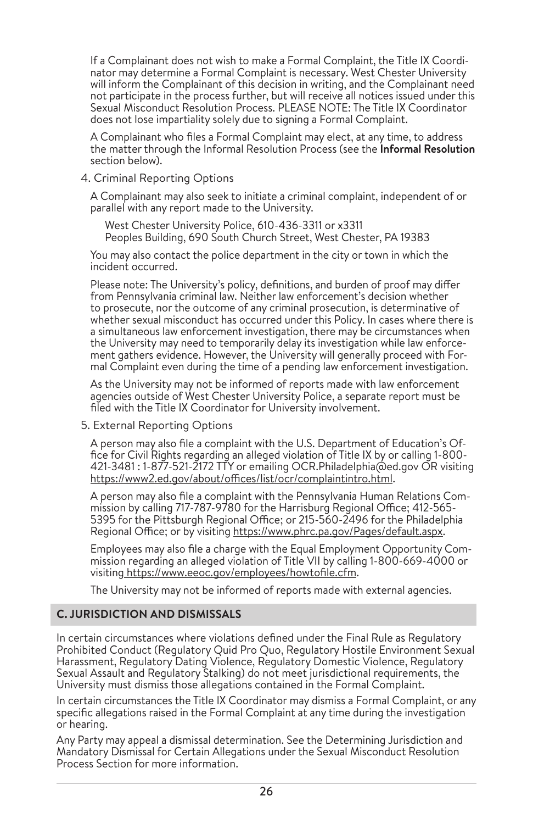If a Complainant does not wish to make a Formal Complaint, the Title IX Coordi nator may determine a Formal Complaint is necessary. West Chester University will inform the Complainant of this decision in writing, and the Complainant need not participate in the process further, but will receive all notices issued under this Sexual Misconduct Resolution Process. PLEASE NOTE: The Title IX Coordinator does not lose impartiality solely due to signing a Formal Complaint.

A Complainant who files a Formal Complaint may elect, at any time, to address the matter through the Informal Resolution Process (see the **Informal Resolution** section below).

4. Criminal Reporting Options

A Complainant may also seek to initiate a criminal complaint, independent of or parallel with any report made to the University.

West Chester University Police, 610-436-3311 or x3311 Peoples Building, 690 South Church Street, West Chester, PA 19383

You may also contact the police department in the city or town in which the incident occurred.

Please note: The University's policy, definitions, and burden of proof may differ from Pennsylvania criminal law. Neither law enforcement's decision whether to prosecute, nor the outcome of any criminal prosecution, is determinative of whether sexual misconduct has occurred under this Policy. In cases where there is a simultaneous law enforcement investigation, there may be circumstances when the University may need to temporarily delay its investigation while law enforce ment gathers evidence. However, the University will generally proceed with For mal Complaint even during the time of a pending law enforcement investigation.

As the University may not be informed of reports made with law enforcement agencies outside of West Chester University Police, a separate report must be filed with the Title IX Coordinator for University involvement.

5. External Reporting Options

A person may also file a complaint with the U.S. Department of Education's Of fice for Civil Rights regarding an alleged violation of Title IX by or calling 1-800- 421-3481 : 1-877-521-2172 TTY or emailing OCR.Philadelphia@ed.gov OR visiting https://www2.ed.gov/about/offices/list/ocr/complaintintro.html.

A person may also file a complaint with the Pennsylvania Human Relations Com mission by calling 717-787-9780 for the Harrisburg Regional Office; 412-565- 5395 for the Pittsburgh Regional Office; or 215-560-2496 for the Philadelphia Regional Office; or by visiting https://www.phrc.pa.gov/Pages/default.aspx.

Employees may also file a charge with the Equal Employment Opportunity Com mission regarding an alleged violation of Title VII by calling 1-800-669-4000 or visiting https://www.eeoc.gov/employees/howtofile.cfm.

The University may not be informed of reports made with external agencies.

# **C. JURISDICTION AND DISMISSALS**

In certain circumstances where violations defined under the Final Rule as Regulatory Prohibited Conduct (Regulatory Quid Pro Quo, Regulatory Hostile Environment Sexual Harassment, Regulatory Dating Violence, Regulatory Domestic Violence, Regulatory Sexual Assault and Regulatory Stalking) do not meet jurisdictional requirements, the University must dismiss those allegations contained in the Formal Complaint.

In certain circumstances the Title IX Coordinator may dismiss a Formal Complaint, or any specific allegations raised in the Formal Complaint at any time during the investigation or hearing.

Any Party may appeal a dismissal determination. See the Determining Jurisdiction and Mandatory Dismissal for Certain Allegations under the Sexual Misconduct Resolution Process Section for more information.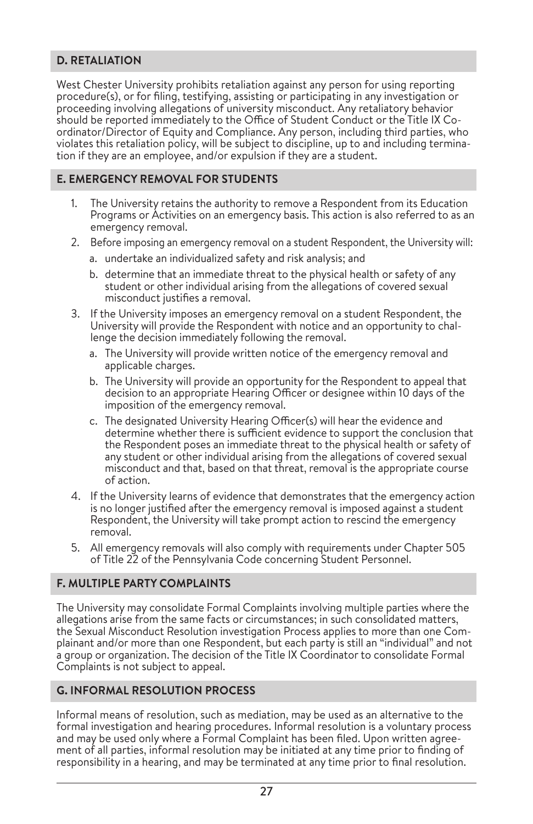# **D. RETALIATION**

West Chester University prohibits retaliation against any person for using reporting procedure(s), or for filing, testifying, assisting or participating in any investigation or proceeding involving allegations of university misconduct. Any retaliatory behavior should be reported immediately to the Office of Student Conduct or the Title IX Co ordinator/Director of Equity and Compliance. Any person, including third parties, who violates this retaliation policy, will be subject to discipline, up to and including termina tion if they are an employee, and/or expulsion if they are a student.

# **E. EMERGENCY REMOVAL FOR STUDENTS**

- 1. The University retains the authority to remove a Respondent from its Education Programs or Activities on an emergency basis. This action is also referred to as an emergency removal.
- 2. Before imposing an emergency removal on a student Respondent, the University will:
	- a. undertake an individualized safety and risk analysis; and
	- b. determine that an immediate threat to the physical health or safety of any student or other individual arising from the allegations of covered sexual misconduct justifies a removal.
- 3. If the University imposes an emergency removal on a student Respondent, the University will provide the Respondent with notice and an opportunity to challenge the decision immediately following the removal.
	- a. The University will provide written notice of the emergency removal and applicable charges.
	- b. The University will provide an opportunity for the Respondent to appeal that decision to an appropriate Hearing Officer or designee within 10 days of the imposition of the emergency removal.
	- c. The designated University Hearing Officer(s) will hear the evidence and determine whether there is sufficient evidence to support the conclusion that the Respondent poses an immediate threat to the physical health or safety of any student or other individual arising from the allegations of covered sexual misconduct and that, based on that threat, removal is the appropriate course of action.
- 4. If the University learns of evidence that demonstrates that the emergency action is no longer justified after the emergency removal is imposed against a student Respondent, the University will take prompt action to rescind the emergency removal.
- 5. All emergency removals will also comply with requirements under Chapter 505 of Title 22 of the Pennsylvania Code concerning Student Personnel.

# **F. MULTIPLE PARTY COMPLAINTS**

The University may consolidate Formal Complaints involving multiple parties where the allegations arise from the same facts or circumstances; in such consolidated matters, the Sexual Misconduct Resolution investigation Process applies to more than one Complainant and/or more than one Respondent, but each party is still an "individual" and not a group or organization. The decision of the Title IX Coordinator to consolidate Formal Complaints is not subject to appeal.

# **G. INFORMAL RESOLUTION PROCESS**

Informal means of resolution, such as mediation, may be used as an alternative to the formal investigation and hearing procedures. Informal resolution is a voluntary process and may be used only where a Formal Complaint has been filed. Upon written agreement of all parties, informal resolution may be initiated at any time prior to finding of responsibility in a hearing, and may be terminated at any time prior to final resolution.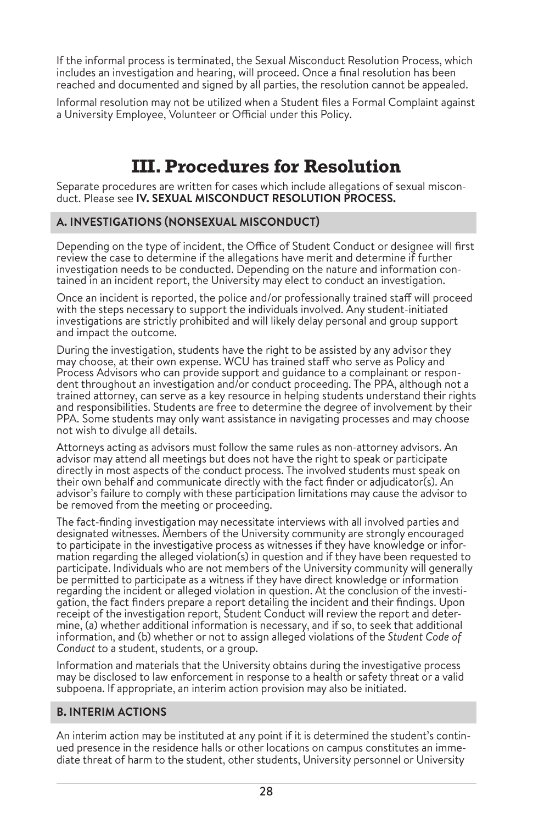If the informal process is terminated, the Sexual Misconduct Resolution Process, which includes an investigation and hearing, will proceed. Once a final resolution has been reached and documented and signed by all parties, the resolution cannot be appealed.

Informal resolution may not be utilized when a Student files a Formal Complaint against a University Employee, Volunteer or Official under this Policy.

# **III. Procedures for Resolution**

Separate procedures are written for cases which include allegations of sexual misconduct. Please see **IV. SEXUAL MISCONDUCT RESOLUTION PROCESS.**

### **A. INVESTIGATIONS (NONSEXUAL MISCONDUCT)**

Depending on the type of incident, the Office of Student Conduct or designee will first review the case to determine if the allegations have merit and determine if further investigation needs to be conducted. Depending on the nature and information con tained in an incident report, the University may elect to conduct an investigation.

Once an incident is reported, the police and/or professionally trained staff will proceed with the steps necessary to support the individuals involved. Any student-initiated investigations are strictly prohibited and will likely delay personal and group support and impact the outcome.

During the investigation, students have the right to be assisted by any advisor they may choose, at their own expense. WCU has trained staff who serve as Policy and Process Advisors who can provide support and guidance to a complainant or respon dent throughout an investigation and/or conduct proceeding. The PPA, although not a trained attorney, can serve as a key resource in helping students understand their rights and responsibilities. Students are free to determine the degree of involvement by their PPA. Some students may only want assistance in navigating processes and may choose not wish to divulge all details.

Attorneys acting as advisors must follow the same rules as non-attorney advisors. An advisor may attend all meetings but does not have the right to speak or participate directly in most aspects of the conduct process. The involved students must speak on their own behalf and communicate directly with the fact finder or adjudicator(s). An advisor's failure to comply with these participation limitations may cause the advisor to be removed from the meeting or proceeding.

The fact-finding investigation may necessitate interviews with all involved parties and designated witnesses. Members of the University community are strongly encouraged to participate in the investigative process as witnesses if they have knowledge or infor mation regarding the alleged violation(s) in question and if they have been requested to participate. Individuals who are not members of the University community will generally be permitted to participate as a witness if they have direct knowledge or information regarding the incident or alleged violation in question. At the conclusion of the investi gation, the fact finders prepare a report detailing the incident and their findings. Upon receipt of the investigation report, Student Conduct will review the report and determine, (a) whether additional information is necessary, and if so, to seek that additional information, and (b) whether or not to assign alleged violations of the *Student Code of Conduct* to a student, students, or a group.

Information and materials that the University obtains during the investigative process may be disclosed to law enforcement in response to a health or safety threat or a valid subpoena. If appropriate, an interim action provision may also be initiated.

# **B. INTERIM ACTIONS**

An interim action may be instituted at any point if it is determined the student's continued presence in the residence halls or other locations on campus constitutes an immediate threat of harm to the student, other students, University personnel or University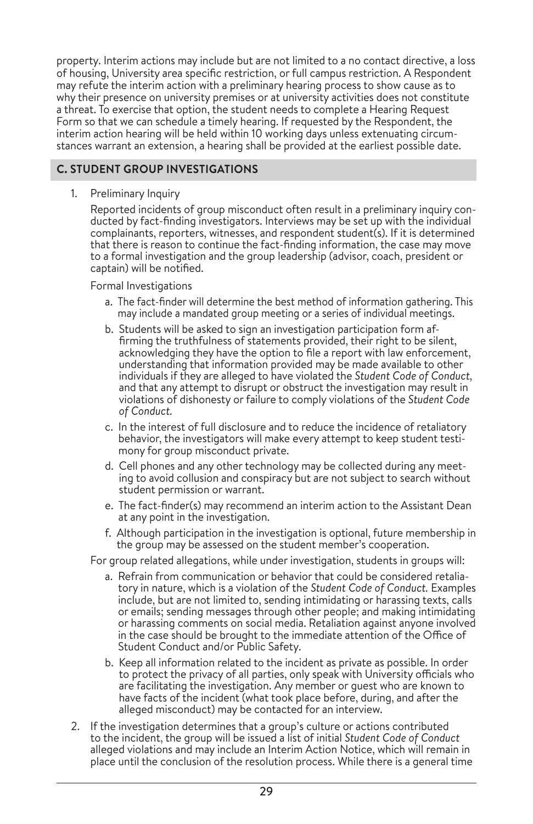property. Interim actions may include but are not limited to a no contact directive, a loss of housing, University area specific restriction, or full campus restriction. A Respondent may refute the interim action with a preliminary hearing process to show cause as to why their presence on university premises or at university activities does not constitute a threat. To exercise that option, the student needs to complete a Hearing Request Form so that we can schedule a timely hearing. If requested by the Respondent, the interim action hearing will be held within 10 working days unless extenuating circumstances warrant an extension, a hearing shall be provided at the earliest possible date.

### **C. STUDENT GROUP INVESTIGATIONS**

1. Preliminary Inquiry

Reported incidents of group misconduct often result in a preliminary inquiry con ducted by fact-finding investigators. Interviews may be set up with the individual complainants, reporters, witnesses, and respondent student(s). If it is determined that there is reason to continue the fact-finding information, the case may move to a formal investigation and the group leadership (advisor, coach, president or captain) will be notified.

### Formal Investigations

- a. The fact-finder will determine the best method of information gathering. This may include a mandated group meeting or a series of individual meetings.
- b. Students will be asked to sign an investigation participation form af firming the truthfulness of statements provided, their right to be silent, acknowledging they have the option to file a report with law enforcement, understanding that information provided may be made available to other individuals if they are alleged to have violated the *Student Code of Conduct,* and that any attempt to disrupt or obstruct the investigation may result in violations of dishonesty or failure to comply violations of the *Student Code of Conduct.*
- c. In the interest of full disclosure and to reduce the incidence of retaliatory behavior, the investigators will make every attempt to keep student testi mony for group misconduct private.
- d. Cell phones and any other technology may be collected during any meet ing to avoid collusion and conspiracy but are not subject to search without student permission or warrant.
- e. The fact-finder(s) may recommend an interim action to the Assistant Dean at any point in the investigation.
- f. Although participation in the investigation is optional, future membership in the group may be assessed on the student member's cooperation.

For group related allegations, while under investigation, students in groups will:

- a. Refrain from communication or behavior that could be considered retalia tory in nature, which is a violation of the *Student Code of Conduct.* Examples include, but are not limited to, sending intimidating or harassing texts, calls or emails; sending messages through other people; and making intimidating or harassing comments on social media. Retaliation against anyone involved in the case should be brought to the immediate attention of the Office of Student Conduct and/or Public Safety.
- b. Keep all information related to the incident as private as possible. In order to protect the privacy of all parties, only speak with University officials who are facilitating the investigation. Any member or guest who are known to have facts of the incident (what took place before, during, and after the alleged misconduct) may be contacted for an interview.
- 2. If the investigation determines that a group's culture or actions contributed to the incident, the group will be issued a list of initial *Student Code of Conduct* alleged violations and may include an Interim Action Notice, which will remain in place until the conclusion of the resolution process. While there is a general time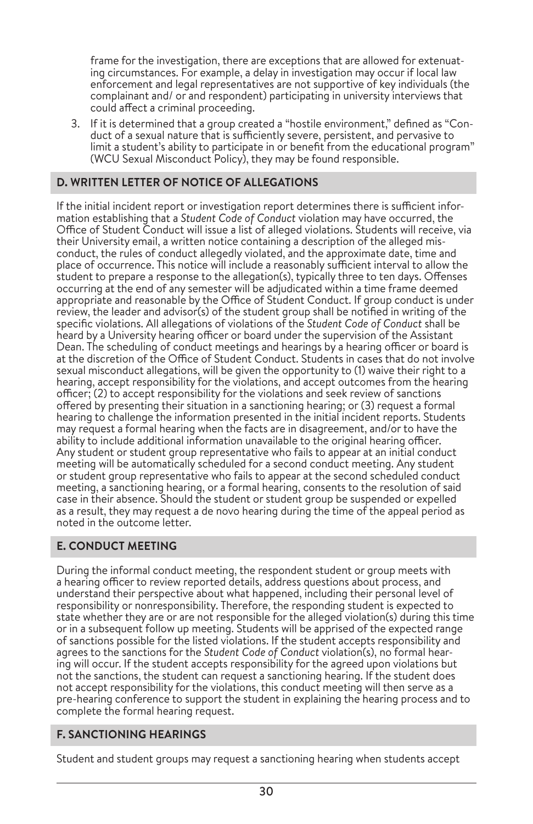frame for the investigation, there are exceptions that are allowed for extenuat ing circumstances. For example, a delay in investigation may occur if local law enforcement and legal representatives are not supportive of key individuals (the complainant and/ or and respondent) participating in university interviews that could affect a criminal proceeding.

3. If it is determined that a group created a "hostile environment," defined as "Con duct of a sexual nature that is sufficiently severe, persistent, and pervasive to limit a student's ability to participate in or benefit from the educational program" (WCU Sexual Misconduct Policy), they may be found responsible.

# **D. WRITTEN LETTER OF NOTICE OF ALLEGATIONS**

If the initial incident report or investigation report determines there is sufficient infor mation establishing that a *Student Code of Conduct* violation may have occurred, the Office of Student Conduct will issue a list of alleged violations. Students will receive, via their University email, a written notice containing a description of the alleged mis conduct, the rules of conduct allegedly violated, and the approximate date, time and place of occurrence. This notice will include a reasonably sufficient interval to allow the student to prepare a response to the allegation(s), typically three to ten days. Offenses occurring at the end of any semester will be adjudicated within a time frame deemed appropriate and reasonable by the Office of Student Conduct. If group conduct is under review, the leader and advisor(s) of the student group shall be notified in writing of the specific violations. All allegations of violations of the *Student Code of Conduct* shall be heard by a University hearing officer or board under the supervision of the Assistant Dean. The scheduling of conduct meetings and hearings by a hearing officer or board is at the discretion of the Office of Student Conduct. Students in cases that do not involve sexual misconduct allegations, will be given the opportunity to (1) waive their right to a hearing, accept responsibility for the violations, and accept outcomes from the hearing officer; (2) to accept responsibility for the violations and seek review of sanctions offered by presenting their situation in a sanctioning hearing; or (3) request a formal hearing to challenge the information presented in the initial incident reports. Students may request a formal hearing when the facts are in disagreement, and/or to have the ability to include additional information unavailable to the original hearing officer. Any student or student group representative who fails to appear at an initial conduct meeting will be automatically scheduled for a second conduct meeting. Any student or student group representative who fails to appear at the second scheduled conduct meeting, a sanctioning hearing, or a formal hearing, consents to the resolution of said case in their absence. Should the student or student group be suspended or expelled as a result, they may request a de novo hearing during the time of the appeal period as noted in the outcome letter.

# **E. CONDUCT MEETING**

During the informal conduct meeting, the respondent student or group meets with a hearing officer to review reported details, address questions about process, and understand their perspective about what happened, including their personal level of responsibility or nonresponsibility. Therefore, the responding student is expected to state whether they are or are not responsible for the alleged violation(s) during this time or in a subsequent follow up meeting. Students will be apprised of the expected range of sanctions possible for the listed violations. If the student accepts responsibility and agrees to the sanctions for the *Student Code of Conduct* violation(s), no formal hear ing will occur. If the student accepts responsibility for the agreed upon violations but not the sanctions, the student can request a sanctioning hearing. If the student does not accept responsibility for the violations, this conduct meeting will then serve as a pre-hearing conference to support the student in explaining the hearing process and to complete the formal hearing request.

# **F. SANCTIONING HEARINGS**

Student and student groups may request a sanctioning hearing when students accept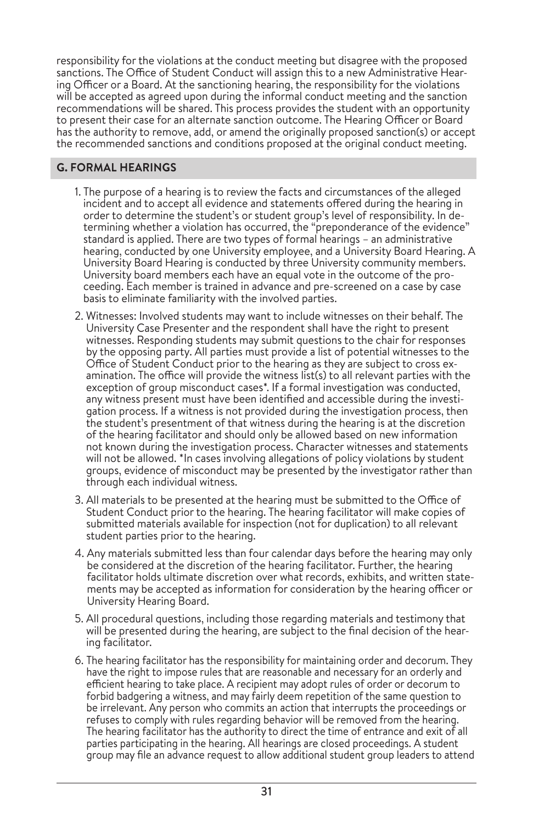responsibility for the violations at the conduct meeting but disagree with the proposed sanctions. The Office of Student Conduct will assign this to a new Administrative Hearing Officer or a Board. At the sanctioning hearing, the responsibility for the violations will be accepted as agreed upon during the informal conduct meeting and the sanction recommendations will be shared. This process provides the student with an opportunity to present their case for an alternate sanction outcome. The Hearing Officer or Board has the authority to remove, add, or amend the originally proposed sanction(s) or accept the recommended sanctions and conditions proposed at the original conduct meeting.

### **G. FORMAL HEARINGS**

- 1. The purpose of a hearing is to review the facts and circumstances of the alleged incident and to accept all evidence and statements offered during the hearing in order to determine the student's or student group's level of responsibility. In determining whether a violation has occurred, the "preponderance of the evidence" standard is applied. There are two types of formal hearings – an administrative hearing, conducted by one University employee, and a University Board Hearing. A University Board Hearing is conducted by three University community members. University board members each have an equal vote in the outcome of the proceeding. Each member is trained in advance and pre-screened on a case by case basis to eliminate familiarity with the involved parties.
- 2. Witnesses: Involved students may want to include witnesses on their behalf. The University Case Presenter and the respondent shall have the right to present witnesses. Responding students may submit questions to the chair for responses by the opposing party. All parties must provide a list of potential witnesses to the Office of Student Conduct prior to the hearing as they are subject to cross examination. The office will provide the witness list(s) to all relevant parties with the exception of group misconduct cases<sup>\*</sup>. If a formal investigation was conducted, any witness present must have been identified and accessible during the investigation process. If a witness is not provided during the investigation process, then the student's presentment of that witness during the hearing is at the discretion of the hearing facilitator and should only be allowed based on new information not known during the investigation process. Character witnesses and statements will not be allowed. \*In cases involving allegations of policy violations by student groups, evidence of misconduct may be presented by the investigator rather than through each individual witness.
- 3. All materials to be presented at the hearing must be submitted to the Office of Student Conduct prior to the hearing. The hearing facilitator will make copies of submitted materials available for inspection (not for duplication) to all relevant student parties prior to the hearing.
- 4. Any materials submitted less than four calendar days before the hearing may only be considered at the discretion of the hearing facilitator. Further, the hearing facilitator holds ultimate discretion over what records, exhibits, and written statements may be accepted as information for consideration by the hearing officer or University Hearing Board.
- 5. All procedural questions, including those regarding materials and testimony that will be presented during the hearing, are subject to the final decision of the hearing facilitator.
- 6. The hearing facilitator has the responsibility for maintaining order and decorum. They have the right to impose rules that are reasonable and necessary for an orderly and efficient hearing to take place. A recipient may adopt rules of order or decorum to forbid badgering a witness, and may fairly deem repetition of the same question to be irrelevant. Any person who commits an action that interrupts the proceedings or refuses to comply with rules regarding behavior will be removed from the hearing. The hearing facilitator has the authority to direct the time of entrance and exit of all parties participating in the hearing. All hearings are closed proceedings. A student group may file an advance request to allow additional student group leaders to attend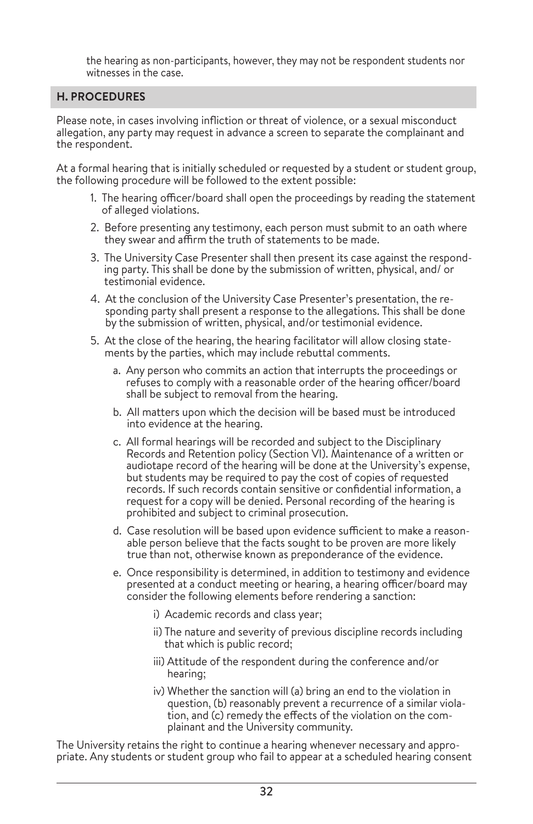the hearing as non-participants, however, they may not be respondent students nor witnesses in the case.

# **H. PROCEDURES**

Please note, in cases involving infliction or threat of violence, or a sexual misconduct allegation, any party may request in advance a screen to separate the complainant and the respondent.

At a formal hearing that is initially scheduled or requested by a student or student group, the following procedure will be followed to the extent possible:

- 1. The hearing officer/board shall open the proceedings by reading the statement of alleged violations.
- 2. Before presenting any testimony, each person must submit to an oath where they swear and affirm the truth of statements to be made.
- 3. The University Case Presenter shall then present its case against the responding party. This shall be done by the submission of written, physical, and/ or testimonial evidence.
- 4. At the conclusion of the University Case Presenter's presentation, the responding party shall present a response to the allegations. This shall be done by the submission of written, physical, and/or testimonial evidence.
- 5. At the close of the hearing, the hearing facilitator will allow closing statements by the parties, which may include rebuttal comments.
	- a. Any person who commits an action that interrupts the proceedings or refuses to comply with a reasonable order of the hearing officer/board shall be subject to removal from the hearing.
	- b. All matters upon which the decision will be based must be introduced into evidence at the hearing.
	- c. All formal hearings will be recorded and subject to the Disciplinary Records and Retention policy (Section VI). Maintenance of a written or audiotape record of the hearing will be done at the University's expense, but students may be required to pay the cost of copies of requested records. If such records contain sensitive or confidential information, a request for a copy will be denied. Personal recording of the hearing is prohibited and subject to criminal prosecution.
	- d. Case resolution will be based upon evidence sufficient to make a reasonable person believe that the facts sought to be proven are more likely true than not, otherwise known as preponderance of the evidence.
	- e. Once responsibility is determined, in addition to testimony and evidence presented at a conduct meeting or hearing, a hearing officer/board may consider the following elements before rendering a sanction:
		- i) Academic records and class year;
		- ii) The nature and severity of previous discipline records including that which is public record;
		- iii) Attitude of the respondent during the conference and/or hearing;
		- iv) Whether the sanction will (a) bring an end to the violation in question, (b) reasonably prevent a recurrence of a similar violation, and (c) remedy the effects of the violation on the complainant and the University community.

The University retains the right to continue a hearing whenever necessary and appropriate. Any students or student group who fail to appear at a scheduled hearing consent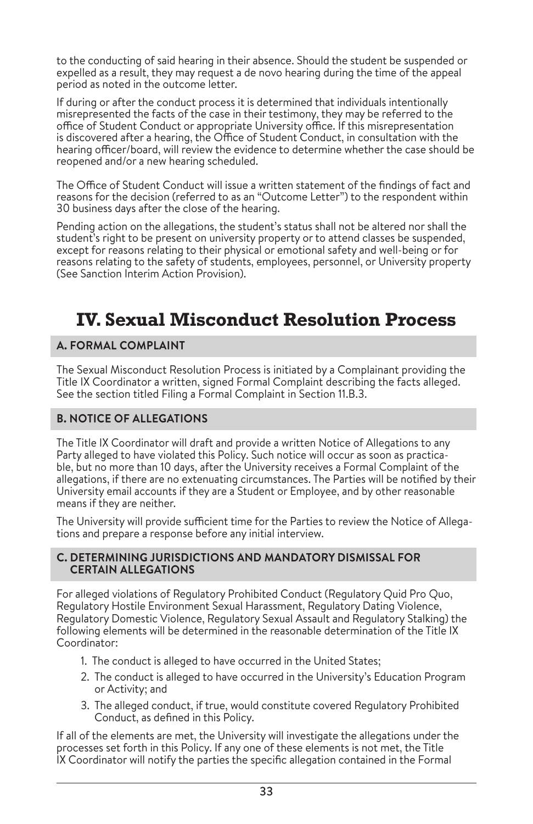to the conducting of said hearing in their absence. Should the student be suspended or expelled as a result, they may request a de novo hearing during the time of the appeal period as noted in the outcome letter.

If during or after the conduct process it is determined that individuals intentionally misrepresented the facts of the case in their testimony, they may be referred to the office of Student Conduct or appropriate University office. If this misrepresentation is discovered after a hearing, the Office of Student Conduct, in consultation with the hearing officer/board, will review the evidence to determine whether the case should be reopened and/or a new hearing scheduled.

The Office of Student Conduct will issue a written statement of the findings of fact and reasons for the decision (referred to as an "Outcome Letter") to the respondent within 30 business days after the close of the hearing.

Pending action on the allegations, the student's status shall not be altered nor shall the student's right to be present on university property or to attend classes be suspended, except for reasons relating to their physical or emotional safety and well-being or for reasons relating to the safety of students, employees, personnel, or University property (See Sanction Interim Action Provision).

# **IV. Sexual Misconduct Resolution Process**

# **A. FORMAL COMPLAINT**

The Sexual Misconduct Resolution Process is initiated by a Complainant providing the Title IX Coordinator a written, signed Formal Complaint describing the facts alleged. See the section titled Filing a Formal Complaint in Section 11.B.3.

# **B. NOTICE OF ALLEGATIONS**

The Title IX Coordinator will draft and provide a written Notice of Allegations to any Party alleged to have violated this Policy. Such notice will occur as soon as practicable, but no more than 10 days, after the University receives a Formal Complaint of the allegations, if there are no extenuating circumstances. The Parties will be notified by their University email accounts if they are a Student or Employee, and by other reasonable means if they are neither.

The University will provide sufficient time for the Parties to review the Notice of Allegations and prepare a response before any initial interview.

### **C. DETERMINING JURISDICTIONS AND MANDATORY DISMISSAL FOR CERTAIN ALLEGATIONS**

For alleged violations of Regulatory Prohibited Conduct (Regulatory Quid Pro Quo, Regulatory Hostile Environment Sexual Harassment, Regulatory Dating Violence, Regulatory Domestic Violence, Regulatory Sexual Assault and Regulatory Stalking) the following elements will be determined in the reasonable determination of the Title IX Coordinator:

- 1. The conduct is alleged to have occurred in the United States;
- 2. The conduct is alleged to have occurred in the University's Education Program or Activity; and
- 3. The alleged conduct, if true, would constitute covered Regulatory Prohibited Conduct, as defined in this Policy.

If all of the elements are met, the University will investigate the allegations under the processes set forth in this Policy. If any one of these elements is not met, the Title IX Coordinator will notify the parties the specific allegation contained in the Formal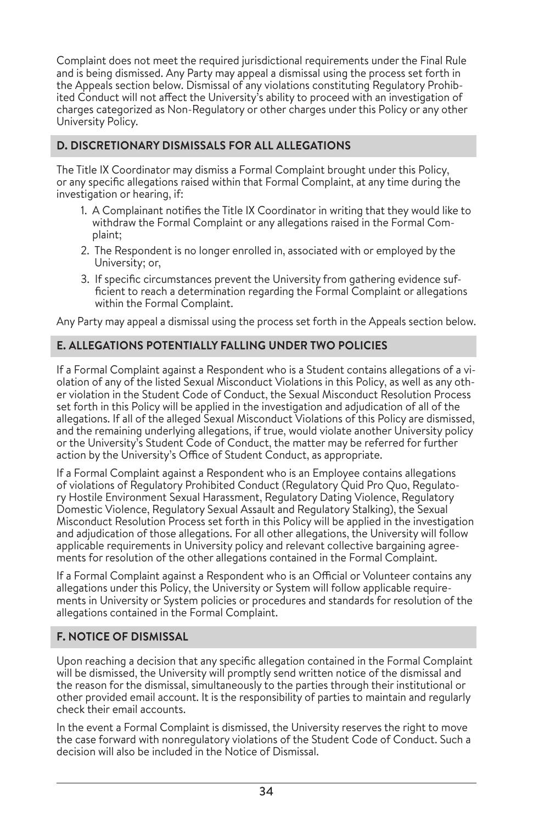Complaint does not meet the required jurisdictional requirements under the Final Rule and is being dismissed. Any Party may appeal a dismissal using the process set forth in the Appeals section below. Dismissal of any violations constituting Regulatory Prohibited Conduct will not affect the University's ability to proceed with an investigation of charges categorized as Non-Regulatory or other charges under this Policy or any other University Policy.

# **D. DISCRETIONARY DISMISSALS FOR ALL ALLEGATIONS**

The Title IX Coordinator may dismiss a Formal Complaint brought under this Policy, or any specific allegations raised within that Formal Complaint, at any time during the investigation or hearing, if:

- 1. A Complainant notifies the Title IX Coordinator in writing that they would like to withdraw the Formal Complaint or any allegations raised in the Formal Complaint;
- 2. The Respondent is no longer enrolled in, associated with or employed by the University; or,
- 3. If specific circumstances prevent the University from gathering evidence sufficient to reach a determination regarding the Formal Complaint or allegations within the Formal Complaint.

Any Party may appeal a dismissal using the process set forth in the Appeals section below.

# **E. ALLEGATIONS POTENTIALLY FALLING UNDER TWO POLICIES**

If a Formal Complaint against a Respondent who is a Student contains allegations of a violation of any of the listed Sexual Misconduct Violations in this Policy, as well as any other violation in the Student Code of Conduct, the Sexual Misconduct Resolution Process set forth in this Policy will be applied in the investigation and adjudication of all of the allegations. If all of the alleged Sexual Misconduct Violations of this Policy are dismissed, and the remaining underlying allegations, if true, would violate another University policy or the University's Student Code of Conduct, the matter may be referred for further action by the University's Office of Student Conduct, as appropriate.

If a Formal Complaint against a Respondent who is an Employee contains allegations of violations of Regulatory Prohibited Conduct (Regulatory Quid Pro Quo, Regulatory Hostile Environment Sexual Harassment, Regulatory Dating Violence, Regulatory Domestic Violence, Regulatory Sexual Assault and Regulatory Stalking), the Sexual Misconduct Resolution Process set forth in this Policy will be applied in the investigation and adjudication of those allegations. For all other allegations, the University will follow applicable requirements in University policy and relevant collective bargaining agreements for resolution of the other allegations contained in the Formal Complaint.

If a Formal Complaint against a Respondent who is an Official or Volunteer contains any allegations under this Policy, the University or System will follow applicable requirements in University or System policies or procedures and standards for resolution of the allegations contained in the Formal Complaint.

# **F. NOTICE OF DISMISSAL**

Upon reaching a decision that any specific allegation contained in the Formal Complaint will be dismissed, the University will promptly send written notice of the dismissal and the reason for the dismissal, simultaneously to the parties through their institutional or other provided email account. It is the responsibility of parties to maintain and regularly check their email accounts.

In the event a Formal Complaint is dismissed, the University reserves the right to move the case forward with nonregulatory violations of the Student Code of Conduct. Such a decision will also be included in the Notice of Dismissal.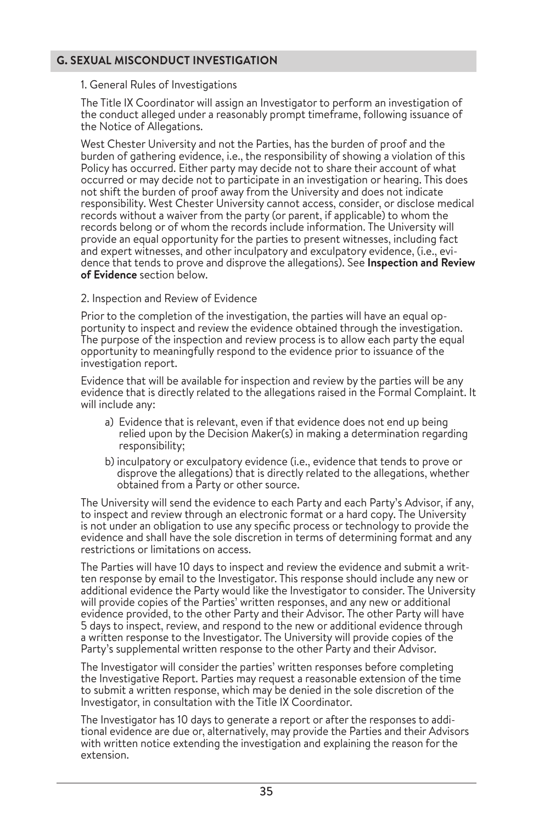### **G. SEXUAL MISCONDUCT INVESTIGATION**

#### 1. General Rules of Investigations

The Title IX Coordinator will assign an Investigator to perform an investigation of the conduct alleged under a reasonably prompt timeframe, following issuance of the Notice of Allegations.

West Chester University and not the Parties, has the burden of proof and the burden of gathering evidence, i.e., the responsibility of showing a violation of this Policy has occurred. Either party may decide not to share their account of what occurred or may decide not to participate in an investigation or hearing. This does not shift the burden of proof away from the University and does not indicate responsibility. West Chester University cannot access, consider, or disclose medical records without a waiver from the party (or parent, if applicable) to whom the records belong or of whom the records include information. The University will provide an equal opportunity for the parties to present witnesses, including fact and expert witnesses, and other inculpatory and exculpatory evidence, (i.e., evidence that tends to prove and disprove the allegations). See **Inspection and Review of Evidence** section below.

### 2. Inspection and Review of Evidence

Prior to the completion of the investigation, the parties will have an equal op portunity to inspect and review the evidence obtained through the investigation. The purpose of the inspection and review process is to allow each party the equal opportunity to meaningfully respond to the evidence prior to issuance of the investigation report.

Evidence that will be available for inspection and review by the parties will be any evidence that is directly related to the allegations raised in the Formal Complaint. It will include any:

- a) Evidence that is relevant, even if that evidence does not end up being relied upon by the Decision Maker(s) in making a determination regarding responsibility;
- b) inculpatory or exculpatory evidence (i.e., evidence that tends to prove or disprove the allegations) that is directly related to the allegations, whether obtained from a Party or other source.

The University will send the evidence to each Party and each Party's Advisor, if any, to inspect and review through an electronic format or a hard copy. The University is not under an obligation to use any specific process or technology to provide the evidence and shall have the sole discretion in terms of determining format and any restrictions or limitations on access.

The Parties will have 10 days to inspect and review the evidence and submit a writ ten response by email to the Investigator. This response should include any new or additional evidence the Party would like the Investigator to consider. The University will provide copies of the Parties' written responses, and any new or additional evidence provided, to the other Party and their Advisor. The other Party will have 5 days to inspect, review, and respond to the new or additional evidence through a written response to the Investigator. The University will provide copies of the Party's supplemental written response to the other Party and their Advisor.

The Investigator will consider the parties' written responses before completing the Investigative Report. Parties may request a reasonable extension of the time to submit a written response, which may be denied in the sole discretion of the Investigator, in consultation with the Title IX Coordinator.

The Investigator has 10 days to generate a report or after the responses to addi tional evidence are due or, alternatively, may provide the Parties and their Advisors with written notice extending the investigation and explaining the reason for the extension.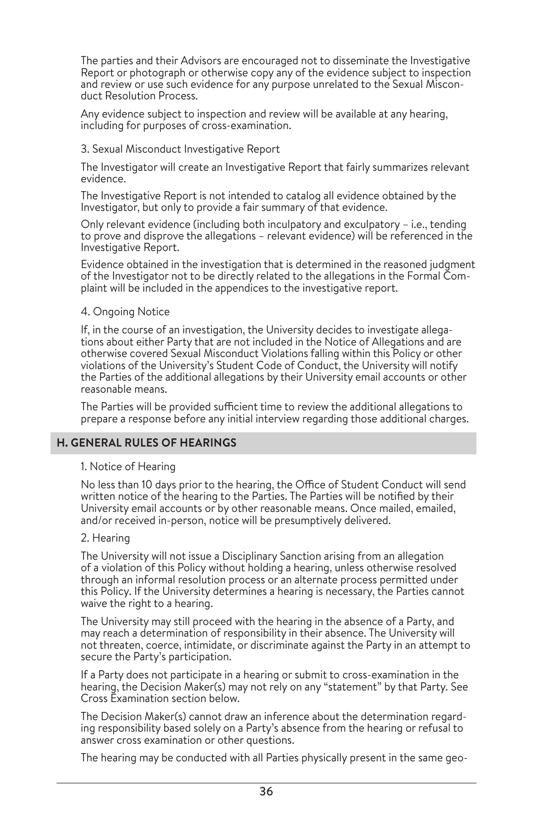The parties and their Advisors are encouraged not to disseminate the Investigative Report or photograph or otherwise copy any of the evidence subject to inspection and review or use such evidence for any purpose unrelated to the Sexual Misconduct Resolution Process.

Any evidence subject to inspection and review will be available at any hearing, including for purposes of cross-examination.

#### 3. Sexual Misconduct Investigative Report

The Investigator will create an Investigative Report that fairly summarizes relevant evidence.

The Investigative Report is not intended to catalog all evidence obtained by the Investigator, but only to provide a fair summary of that evidence.

Only relevant evidence (including both inculpatory and exculpatory – i.e., tending to prove and disprove the allegations – relevant evidence) will be referenced in the Investigative Report.

Evidence obtained in the investigation that is determined in the reasoned judgment of the Investigator not to be directly related to the allegations in the Formal Complaint will be included in the appendices to the investigative report.

### 4. Ongoing Notice

If, in the course of an investigation, the University decides to investigate allegations about either Party that are not included in the Notice of Allegations and are otherwise covered Sexual Misconduct Violations falling within this Policy or other violations of the University's Student Code of Conduct, the University will notify the Parties of the additional allegations by their University email accounts or other reasonable means.

The Parties will be provided sufficient time to review the additional allegations to prepare a response before any initial interview regarding those additional charges.

### **H. GENERAL RULES OF HEARINGS**

#### 1. Notice of Hearing

No less than 10 days prior to the hearing, the Office of Student Conduct will send written notice of the hearing to the Parties. The Parties will be notified by their University email accounts or by other reasonable means. Once mailed, emailed, and/or received in-person, notice will be presumptively delivered.

#### 2. Hearing

The University will not issue a Disciplinary Sanction arising from an allegation of a violation of this Policy without holding a hearing, unless otherwise resolved through an informal resolution process or an alternate process permitted under this Policy. If the University determines a hearing is necessary, the Parties cannot waive the right to a hearing.

The University may still proceed with the hearing in the absence of a Party, and may reach a determination of responsibility in their absence. The University will not threaten, coerce, intimidate, or discriminate against the Party in an attempt to secure the Party's participation.

If a Party does not participate in a hearing or submit to cross-examination in the hearing, the Decision Maker(s) may not rely on any "statement" by that Party. See Cross Examination section below.

The Decision Maker(s) cannot draw an inference about the determination regarding responsibility based solely on a Party's absence from the hearing or refusal to answer cross examination or other questions.

The hearing may be conducted with all Parties physically present in the same geo-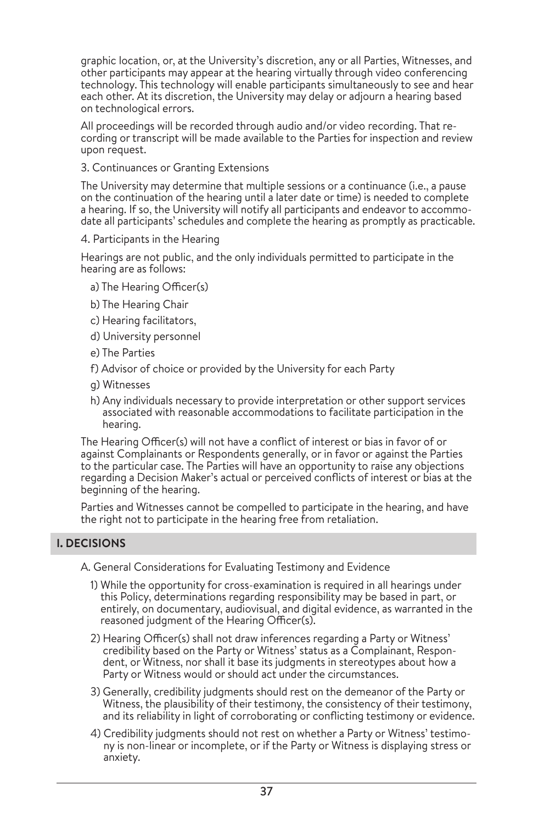graphic location, or, at the University's discretion, any or all Parties, Witnesses, and other participants may appear at the hearing virtually through video conferencing technology. This technology will enable participants simultaneously to see and hear each other. At its discretion, the University may delay or adjourn a hearing based on technological errors.

All proceedings will be recorded through audio and/or video recording. That recording or transcript will be made available to the Parties for inspection and review upon request.

3. Continuances or Granting Extensions

The University may determine that multiple sessions or a continuance (i.e., a pause on the continuation of the hearing until a later date or time) is needed to complete a hearing. If so, the University will notify all participants and endeavor to accommodate all participants' schedules and complete the hearing as promptly as practicable.

4. Participants in the Hearing

Hearings are not public, and the only individuals permitted to participate in the hearing are as follows:

- a) The Hearing Officer(s)
- b) The Hearing Chair
- c) Hearing facilitators,
- d) University personnel
- e) The Parties
- f) Advisor of choice or provided by the University for each Party
- g) Witnesses
- h) Any individuals necessary to provide interpretation or other support services associated with reasonable accommodations to facilitate participation in the hearing.

The Hearing Officer(s) will not have a conflict of interest or bias in favor of or against Complainants or Respondents generally, or in favor or against the Parties to the particular case. The Parties will have an opportunity to raise any objections regarding a Decision Maker's actual or perceived conflicts of interest or bias at the beginning of the hearing.

Parties and Witnesses cannot be compelled to participate in the hearing, and have the right not to participate in the hearing free from retaliation.

# **I. DECISIONS**

A. General Considerations for Evaluating Testimony and Evidence

- 1) While the opportunity for cross-examination is required in all hearings under this Policy, determinations regarding responsibility may be based in part, or entirely, on documentary, audiovisual, and digital evidence, as warranted in the reasoned judgment of the Hearing Officer(s).
- 2) Hearing Officer(s) shall not draw inferences regarding a Party or Witness' credibility based on the Party or Witness' status as a Complainant, Respondent, or Witness, nor shall it base its judgments in stereotypes about how a Party or Witness would or should act under the circumstances.
- 3) Generally, credibility judgments should rest on the demeanor of the Party or Witness, the plausibility of their testimony, the consistency of their testimony, and its reliability in light of corroborating or conflicting testimony or evidence.
- 4) Credibility judgments should not rest on whether a Party or Witness' testimony is non-linear or incomplete, or if the Party or Witness is displaying stress or anxiety.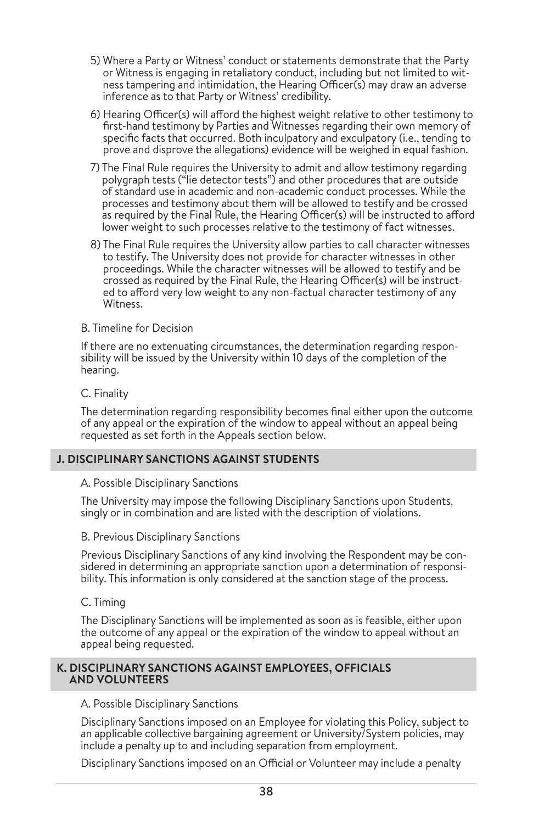- 5) Where a Party or Witness' conduct or statements demonstrate that the Party or Witness is engaging in retaliatory conduct, including but not limited to witness tampering and intimidation, the Hearing Officer(s) may draw an adverse inference as to that Party or Witness' credibility.
- 6) Hearing Officer(s) will afford the highest weight relative to other testimony to first-hand testimony by Parties and Witnesses regarding their own memory of specific facts that occurred. Both inculpatory and exculpatory (i.e., tending to prove and disprove the allegations) evidence will be weighed in equal fashion.
- 7) The Final Rule requires the University to admit and allow testimony regarding polygraph tests ("lie detector tests") and other procedures that are outside of standard use in academic and non-academic conduct processes. While the processes and testimony about them will be allowed to testify and be crossed as required by the Final Rule, the Hearing Officer(s) will be instructed to afford lower weight to such processes relative to the testimony of fact witnesses.
- 8) The Final Rule requires the University allow parties to call character witnesses to testify. The University does not provide for character witnesses in other proceedings. While the character witnesses will be allowed to testify and be crossed as required by the Final Rule, the Hearing Officer(s) will be instructed to afford very low weight to any non-factual character testimony of any Witness.

### B. Timeline for Decision

If there are no extenuating circumstances, the determination regarding responsibility will be issued by the University within 10 days of the completion of the hearing.

### C. Finality

The determination regarding responsibility becomes final either upon the outcome of any appeal or the expiration of the window to appeal without an appeal being requested as set forth in the Appeals section below.

### **J. DISCIPLINARY SANCTIONS AGAINST STUDENTS**

#### A. Possible Disciplinary Sanctions

The University may impose the following Disciplinary Sanctions upon Students, singly or in combination and are listed with the description of violations.

#### B. Previous Disciplinary Sanctions

Previous Disciplinary Sanctions of any kind involving the Respondent may be considered in determining an appropriate sanction upon a determination of responsibility. This information is only considered at the sanction stage of the process.

### C. Timing

The Disciplinary Sanctions will be implemented as soon as is feasible, either upon the outcome of any appeal or the expiration of the window to appeal without an appeal being requested.

### **K. DISCIPLINARY SANCTIONS AGAINST EMPLOYEES, OFFICIALS AND VOLUNTEERS**

### A. Possible Disciplinary Sanctions

Disciplinary Sanctions imposed on an Employee for violating this Policy, subject to an applicable collective bargaining agreement or University/System policies, may include a penalty up to and including separation from employment.

Disciplinary Sanctions imposed on an Official or Volunteer may include a penalty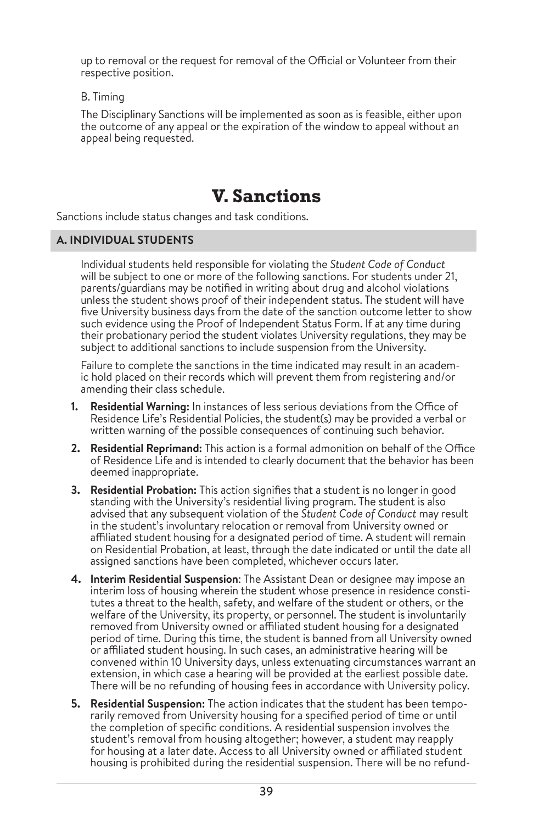up to removal or the request for removal of the Official or Volunteer from their respective position.

B. Timing

The Disciplinary Sanctions will be implemented as soon as is feasible, either upon the outcome of any appeal or the expiration of the window to appeal without an appeal being requested.

# **V. Sanctions**

Sanctions include status changes and task conditions.

### **A. INDIVIDUAL STUDENTS**

Individual students held responsible for violating the *Student Code of Conduct*  will be subject to one or more of the following sanctions. For students under 21, parents/guardians may be notified in writing about drug and alcohol violations unless the student shows proof of their independent status. The student will have five University business days from the date of the sanction outcome letter to show such evidence using the Proof of Independent Status Form. If at any time during their probationary period the student violates University regulations, they may be subject to additional sanctions to include suspension from the University.

Failure to complete the sanctions in the time indicated may result in an academic hold placed on their records which will prevent them from registering and/or amending their class schedule.

- **1. Residential Warning:** In instances of less serious deviations from the Office of Residence Life's Residential Policies, the student(s) may be provided a verbal or written warning of the possible consequences of continuing such behavior.
- **2. Residential Reprimand:** This action is a formal admonition on behalf of the Office of Residence Life and is intended to clearly document that the behavior has been deemed inappropriate.
- **3. Residential Probation:** This action signifies that a student is no longer in good standing with the University's residential living program. The student is also advised that any subsequent violation of the *Student Code of Conduct* may result in the student's involuntary relocation or removal from University owned or affiliated student housing for a designated period of time. A student will remain on Residential Probation, at least, through the date indicated or until the date all assigned sanctions have been completed, whichever occurs later.
- **4. Interim Residential Suspension**: The Assistant Dean or designee may impose an interim loss of housing wherein the student whose presence in residence constitutes a threat to the health, safety, and welfare of the student or others, or the welfare of the University, its property, or personnel. The student is involuntarily removed from University owned or affiliated student housing for a designated period of time. During this time, the student is banned from all University owned or affiliated student housing. In such cases, an administrative hearing will be convened within 10 University days, unless extenuating circumstances warrant an extension, in which case a hearing will be provided at the earliest possible date. There will be no refunding of housing fees in accordance with University policy.
- **5. Residential Suspension:** The action indicates that the student has been temporarily removed from University housing for a specified period of time or until the completion of specific conditions. A residential suspension involves the student's removal from housing altogether; however, a student may reapply for housing at a later date. Access to all University owned or affiliated student housing is prohibited during the residential suspension. There will be no refund-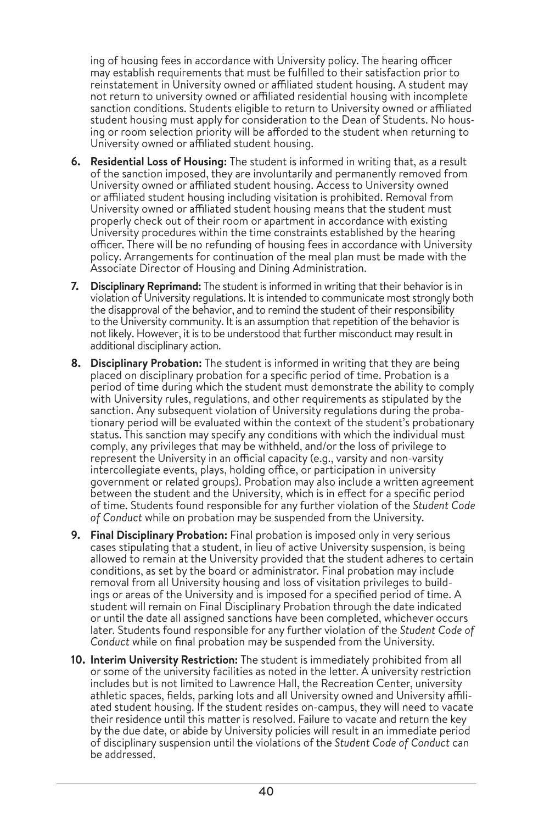ing of housing fees in accordance with University policy. The hearing officer may establish requirements that must be fulfilled to their satisfaction prior to reinstatement in University owned or affiliated student housing. A student may not return to university owned or affiliated residential housing with incomplete sanction conditions. Students eligible to return to University owned or affiliated student housing must apply for consideration to the Dean of Students. No housing or room selection priority will be afforded to the student when returning to University owned or affiliated student housing.

- **6. Residential Loss of Housing:** The student is informed in writing that, as a result of the sanction imposed, they are involuntarily and permanently removed from University owned or affiliated student housing. Access to University owned or affiliated student housing including visitation is prohibited. Removal from University owned or affiliated student housing means that the student must properly check out of their room or apartment in accordance with existing University procedures within the time constraints established by the hearing officer. There will be no refunding of housing fees in accordance with University policy. Arrangements for continuation of the meal plan must be made with the Associate Director of Housing and Dining Administration.
- **7. Disciplinary Reprimand:** The student is informed in writing that their behavior is in violation of University regulations. It is intended to communicate most strongly both the disapproval of the behavior, and to remind the student of their responsibility to the University community. It is an assumption that repetition of the behavior is not likely. However, it is to be understood that further misconduct may result in additional disciplinary action.
- **8. Disciplinary Probation:** The student is informed in writing that they are being placed on disciplinary probation for a specific period of time. Probation is a period of time during which the student must demonstrate the ability to comply with University rules, regulations, and other requirements as stipulated by the sanction. Any subsequent violation of University regulations during the probationary period will be evaluated within the context of the student's probationary status. This sanction may specify any conditions with which the individual must comply, any privileges that may be withheld, and/or the loss of privilege to represent the University in an official capacity (e.g., varsity and non-varsity intercollegiate events, plays, holding office, or participation in university government or related groups). Probation may also include a written agreement between the student and the University, which is in effect for a specific period of time. Students found responsible for any further violation of the *Student Code of Conduct* while on probation may be suspended from the University.
- **9. Final Disciplinary Probation:** Final probation is imposed only in very serious cases stipulating that a student, in lieu of active University suspension, is being allowed to remain at the University provided that the student adheres to certain conditions, as set by the board or administrator. Final probation may include removal from all University housing and loss of visitation privileges to buildings or areas of the University and is imposed for a specified period of time. A student will remain on Final Disciplinary Probation through the date indicated or until the date all assigned sanctions have been completed, whichever occurs later. Students found responsible for any further violation of the *Student Code of Conduct* while on final probation may be suspended from the University.
- **10. Interim University Restriction:** The student is immediately prohibited from all or some of the university facilities as noted in the letter. A university restriction includes but is not limited to Lawrence Hall, the Recreation Center, university athletic spaces, fields, parking lots and all University owned and University affiliated student housing. If the student resides on-campus, they will need to vacate their residence until this matter is resolved. Failure to vacate and return the key by the due date, or abide by University policies will result in an immediate period of disciplinary suspension until the violations of the *Student Code of Conduct* can be addressed.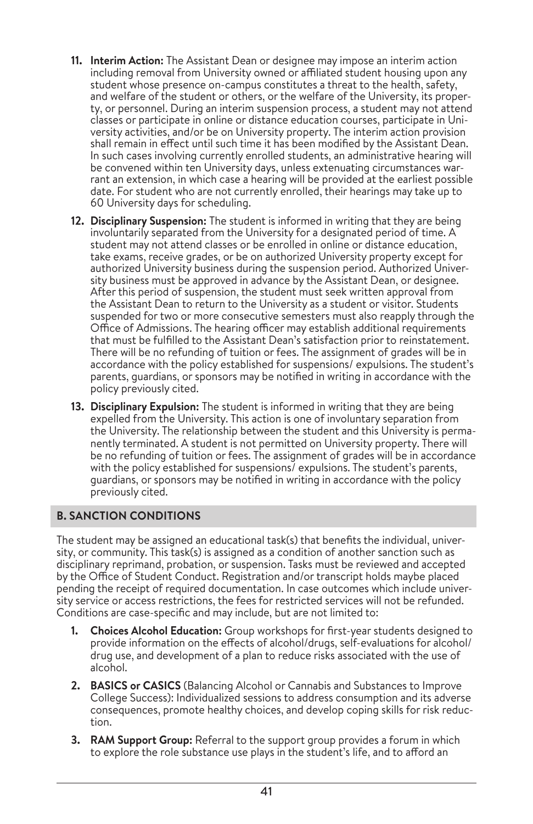- **11. Interim Action:** The Assistant Dean or designee may impose an interim action including removal from University owned or affiliated student housing upon any student whose presence on-campus constitutes a threat to the health, safety, and welfare of the student or others, or the welfare of the University, its property, or personnel. During an interim suspension process, a student may not attend classes or participate in online or distance education courses, participate in University activities, and/or be on University property. The interim action provision shall remain in effect until such time it has been modified by the Assistant Dean. In such cases involving currently enrolled students, an administrative hearing will be convened within ten University days, unless extenuating circumstances warrant an extension, in which case a hearing will be provided at the earliest possible date. For student who are not currently enrolled, their hearings may take up to 60 University days for scheduling.
- **12. Disciplinary Suspension:** The student is informed in writing that they are being involuntarily separated from the University for a designated period of time. A student may not attend classes or be enrolled in online or distance education, take exams, receive grades, or be on authorized University property except for authorized University business during the suspension period. Authorized University business must be approved in advance by the Assistant Dean, or designee. After this period of suspension, the student must seek written approval from the Assistant Dean to return to the University as a student or visitor. Students suspended for two or more consecutive semesters must also reapply through the Office of Admissions. The hearing officer may establish additional requirements that must be fulfilled to the Assistant Dean's satisfaction prior to reinstatement. There will be no refunding of tuition or fees. The assignment of grades will be in accordance with the policy established for suspensions/ expulsions. The student's parents, guardians, or sponsors may be notified in writing in accordance with the policy previously cited.
- **13. Disciplinary Expulsion:** The student is informed in writing that they are being expelled from the University. This action is one of involuntary separation from the University. The relationship between the student and this University is permanently terminated. A student is not permitted on University property. There will be no refunding of tuition or fees. The assignment of grades will be in accordance with the policy established for suspensions/ expulsions. The student's parents, guardians, or sponsors may be notified in writing in accordance with the policy previously cited.

# **B. SANCTION CONDITIONS**

The student may be assigned an educational task(s) that benefits the individual, university, or community. This task(s) is assigned as a condition of another sanction such as disciplinary reprimand, probation, or suspension. Tasks must be reviewed and accepted by the Office of Student Conduct. Registration and/or transcript holds maybe placed pending the receipt of required documentation. In case outcomes which include university service or access restrictions, the fees for restricted services will not be refunded. Conditions are case-specific and may include, but are not limited to:

- **1. Choices Alcohol Education:** Group workshops for first-year students designed to provide information on the effects of alcohol/drugs, self-evaluations for alcohol/ drug use, and development of a plan to reduce risks associated with the use of alcohol.
- **2. BASICS or CASICS** (Balancing Alcohol or Cannabis and Substances to Improve College Success): Individualized sessions to address consumption and its adverse consequences, promote healthy choices, and develop coping skills for risk reduction.
- **3. RAM Support Group:** Referral to the support group provides a forum in which to explore the role substance use plays in the student's life, and to afford an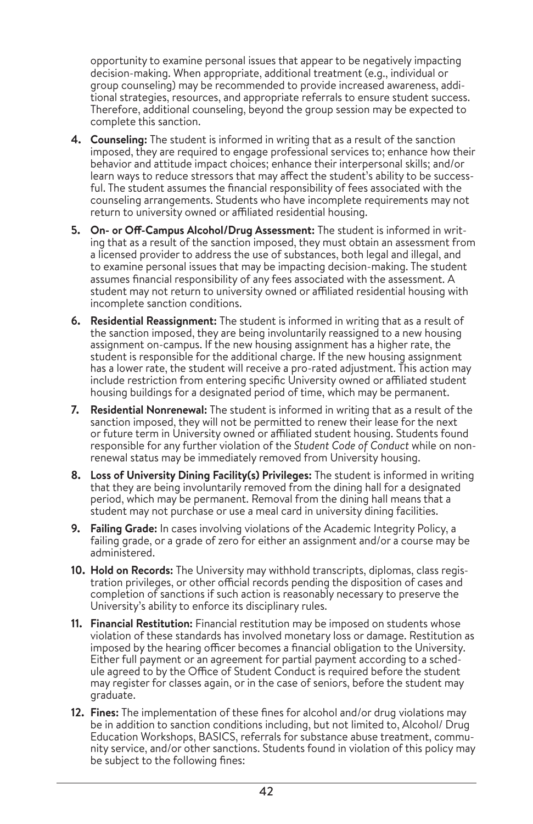opportunity to examine personal issues that appear to be negatively impacting decision-making. When appropriate, additional treatment (e.g., individual or group counseling) may be recommended to provide increased awareness, additional strategies, resources, and appropriate referrals to ensure student success. Therefore, additional counseling, beyond the group session may be expected to complete this sanction.

- **4. Counseling:** The student is informed in writing that as a result of the sanction imposed, they are required to engage professional services to; enhance how their behavior and attitude impact choices; enhance their interpersonal skills; and/or learn ways to reduce stressors that may affect the student's ability to be successful. The student assumes the financial responsibility of fees associated with the counseling arrangements. Students who have incomplete requirements may not return to university owned or affiliated residential housing.
- **5. On- or Off-Campus Alcohol/Drug Assessment:** The student is informed in writing that as a result of the sanction imposed, they must obtain an assessment from a licensed provider to address the use of substances, both legal and illegal, and to examine personal issues that may be impacting decision-making. The student assumes financial responsibility of any fees associated with the assessment. A student may not return to university owned or affiliated residential housing with incomplete sanction conditions.
- **6. Residential Reassignment:** The student is informed in writing that as a result of the sanction imposed, they are being involuntarily reassigned to a new housing assignment on-campus. If the new housing assignment has a higher rate, the student is responsible for the additional charge. If the new housing assignment has a lower rate, the student will receive a pro-rated adjustment. This action may include restriction from entering specific University owned or affiliated student housing buildings for a designated period of time, which may be permanent.
- **7. Residential Nonrenewal:** The student is informed in writing that as a result of the sanction imposed, they will not be permitted to renew their lease for the next or future term in University owned or affiliated student housing. Students found responsible for any further violation of the *Student Code of Conduct* while on nonrenewal status may be immediately removed from University housing.
- **8. Loss of University Dining Facility(s) Privileges:** The student is informed in writing that they are being involuntarily removed from the dining hall for a designated period, which may be permanent. Removal from the dining hall means that a student may not purchase or use a meal card in university dining facilities.
- **9. Failing Grade:** In cases involving violations of the Academic Integrity Policy, a failing grade, or a grade of zero for either an assignment and/or a course may be administered.
- **10. Hold on Records:** The University may withhold transcripts, diplomas, class registration privileges, or other official records pending the disposition of cases and completion of sanctions if such action is reasonably necessary to preserve the University's ability to enforce its disciplinary rules.
- **11. Financial Restitution:** Financial restitution may be imposed on students whose violation of these standards has involved monetary loss or damage. Restitution as imposed by the hearing officer becomes a financial obligation to the University. Either full payment or an agreement for partial payment according to a schedule agreed to by the Office of Student Conduct is required before the student may register for classes again, or in the case of seniors, before the student may graduate.
- **12. Fines:** The implementation of these fines for alcohol and/or drug violations may be in addition to sanction conditions including, but not limited to, Alcohol/ Drug Education Workshops, BASICS, referrals for substance abuse treatment, community service, and/or other sanctions. Students found in violation of this policy may be subject to the following fines: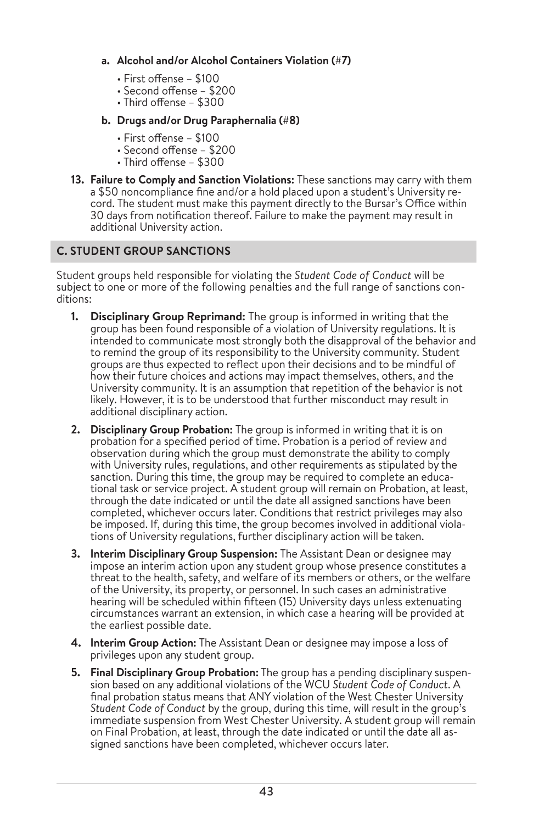### **a. Alcohol and/or Alcohol Containers Violation (#7)**

- First offense \$100
- Second offense \$200
- Third offense \$300

### **b. Drugs and/or Drug Paraphernalia (#8)**

- First offense \$100
- Second offense \$200
- Third offense \$300
- **13. Failure to Comply and Sanction Violations:** These sanctions may carry with them a \$50 noncompliance fine and/or a hold placed upon a student's University record. The student must make this payment directly to the Bursar's Office within 30 days from notification thereof. Failure to make the payment may result in additional University action.

# **C. STUDENT GROUP SANCTIONS**

Student groups held responsible for violating the *Student Code of Conduct* will be subject to one or more of the following penalties and the full range of sanctions conditions:

- **1. Disciplinary Group Reprimand:** The group is informed in writing that the group has been found responsible of a violation of University regulations. It is intended to communicate most strongly both the disapproval of the behavior and to remind the group of its responsibility to the University community. Student groups are thus expected to reflect upon their decisions and to be mindful of how their future choices and actions may impact themselves, others, and the University community. It is an assumption that repetition of the behavior is not likely. However, it is to be understood that further misconduct may result in additional disciplinary action.
- **2. Disciplinary Group Probation:** The group is informed in writing that it is on probation for a specified period of time. Probation is a period of review and observation during which the group must demonstrate the ability to comply with University rules, regulations, and other requirements as stipulated by the sanction. During this time, the group may be required to complete an educational task or service project. A student group will remain on Probation, at least, through the date indicated or until the date all assigned sanctions have been completed, whichever occurs later. Conditions that restrict privileges may also be imposed. If, during this time, the group becomes involved in additional violations of University regulations, further disciplinary action will be taken.
- **3. Interim Disciplinary Group Suspension:** The Assistant Dean or designee may impose an interim action upon any student group whose presence constitutes a threat to the health, safety, and welfare of its members or others, or the welfare of the University, its property, or personnel. In such cases an administrative hearing will be scheduled within fifteen (15) University days unless extenuating circumstances warrant an extension, in which case a hearing will be provided at the earliest possible date.
- **4. Interim Group Action:** The Assistant Dean or designee may impose a loss of privileges upon any student group.
- **5. Final Disciplinary Group Probation:** The group has a pending disciplinary suspension based on any additional violations of the WCU *Student Code of Conduct*. A final probation status means that ANY violation of the West Chester University *Student Code of Conduct* by the group, during this time, will result in the group's immediate suspension from West Chester University. A student group will remain on Final Probation, at least, through the date indicated or until the date all assigned sanctions have been completed, whichever occurs later.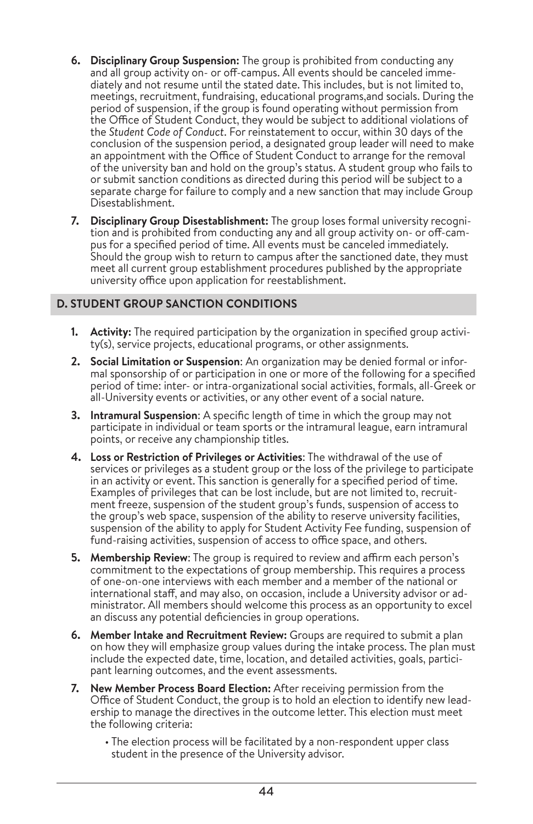- **6. Disciplinary Group Suspension:** The group is prohibited from conducting any and all group activity on- or off-campus. All events should be canceled immediately and not resume until the stated date. This includes, but is not limited to, meetings, recruitment, fundraising, educational programs,and socials. During the period of suspension, if the group is found operating without permission from the Office of Student Conduct, they would be subject to additional violations of the *Student Code of Conduct*. For reinstatement to occur, within 30 days of the conclusion of the suspension period, a designated group leader will need to make an appointment with the Office of Student Conduct to arrange for the removal of the university ban and hold on the group's status. A student group who fails to or submit sanction conditions as directed during this period will be subject to a separate charge for failure to comply and a new sanction that may include Group Disestablishment.
- **7. Disciplinary Group Disestablishment:** The group loses formal university recognition and is prohibited from conducting any and all group activity on- or off-campus for a specified period of time. All events must be canceled immediately. Should the group wish to return to campus after the sanctioned date, they must meet all current group establishment procedures published by the appropriate university office upon application for reestablishment.

# **D. STUDENT GROUP SANCTION CONDITIONS**

- **1. Activity:** The required participation by the organization in specified group activity(s), service projects, educational programs, or other assignments.
- **2. Social Limitation or Suspension**: An organization may be denied formal or informal sponsorship of or participation in one or more of the following for a specified period of time: inter- or intra-organizational social activities, formals, all-Greek or all-University events or activities, or any other event of a social nature.
- **3. Intramural Suspension**: A specific length of time in which the group may not participate in individual or team sports or the intramural league, earn intramural points, or receive any championship titles.
- **4. Loss or Restriction of Privileges or Activities**: The withdrawal of the use of services or privileges as a student group or the loss of the privilege to participate in an activity or event. This sanction is generally for a specified period of time. Examples of privileges that can be lost include, but are not limited to, recruitment freeze, suspension of the student group's funds, suspension of access to the group's web space, suspension of the ability to reserve university facilities, suspension of the ability to apply for Student Activity Fee funding, suspension of fund-raising activities, suspension of access to office space, and others.
- **5. Membership Review**: The group is required to review and affirm each person's commitment to the expectations of group membership. This requires a process of one-on-one interviews with each member and a member of the national or international staff, and may also, on occasion, include a University advisor or administrator. All members should welcome this process as an opportunity to excel an discuss any potential deficiencies in group operations.
- **6. Member Intake and Recruitment Review:** Groups are required to submit a plan on how they will emphasize group values during the intake process. The plan must include the expected date, time, location, and detailed activities, goals, participant learning outcomes, and the event assessments.
- **7. New Member Process Board Election:** After receiving permission from the Office of Student Conduct, the group is to hold an election to identify new leadership to manage the directives in the outcome letter. This election must meet the following criteria:
	- The election process will be facilitated by a non-respondent upper class student in the presence of the University advisor.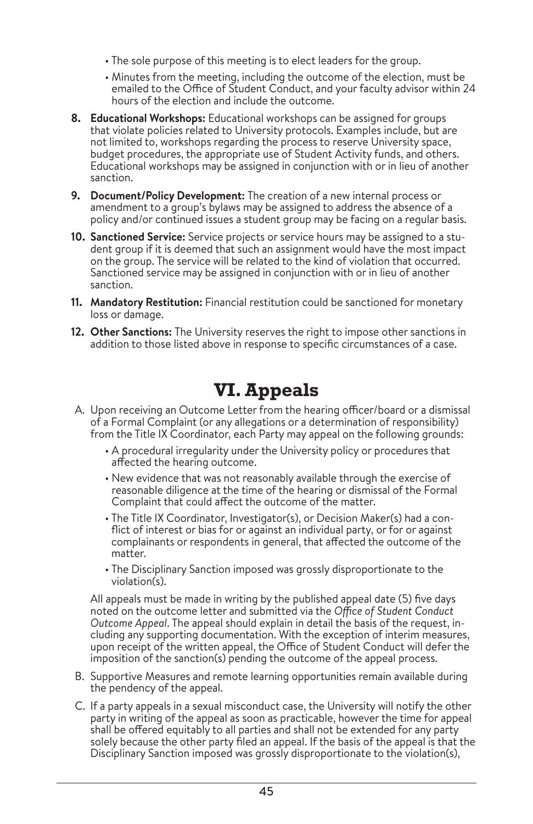- The sole purpose of this meeting is to elect leaders for the group.
- Minutes from the meeting, including the outcome of the election, must be emailed to the Office of Student Conduct, and your faculty advisor within 24 hours of the election and include the outcome.
- **8. Educational Workshops:** Educational workshops can be assigned for groups that violate policies related to University protocols. Examples include, but are not limited to, workshops regarding the process to reserve University space, budget procedures, the appropriate use of Student Activity funds, and others. Educational workshops may be assigned in conjunction with or in lieu of another sanction.
- **9. Document/Policy Development:** The creation of a new internal process or amendment to a group's bylaws may be assigned to address the absence of a policy and/or continued issues a student group may be facing on a regular basis.
- **10. Sanctioned Service:** Service projects or service hours may be assigned to a student group if it is deemed that such an assignment would have the most impact on the group. The service will be related to the kind of violation that occurred. Sanctioned service may be assigned in conjunction with or in lieu of another sanction.
- **11. Mandatory Restitution:** Financial restitution could be sanctioned for monetary loss or damage.
- **12. Other Sanctions:** The University reserves the right to impose other sanctions in addition to those listed above in response to specific circumstances of a case.

# **VI. Appeals**

- A. Upon receiving an Outcome Letter from the hearing officer/board or a dismissal of a Formal Complaint (or any allegations or a determination of responsibility) from the Title IX Coordinator, each Party may appeal on the following grounds:
	- A procedural irregularity under the University policy or procedures that affected the hearing outcome.
	- New evidence that was not reasonably available through the exercise of reasonable diligence at the time of the hearing or dismissal of the Formal Complaint that could affect the outcome of the matter.
	- The Title IX Coordinator, Investigator(s), or Decision Maker(s) had a conflict of interest or bias for or against an individual party, or for or against complainants or respondents in general, that affected the outcome of the matter.
	- The Disciplinary Sanction imposed was grossly disproportionate to the violation(s).

All appeals must be made in writing by the published appeal date (5) five days noted on the outcome letter and submitted via the *Office of Student Conduct Outcome Appeal*. The appeal should explain in detail the basis of the request, including any supporting documentation. With the exception of interim measures, upon receipt of the written appeal, the Office of Student Conduct will defer the imposition of the sanction(s) pending the outcome of the appeal process.

- B. Supportive Measures and remote learning opportunities remain available during the pendency of the appeal.
- C. If a party appeals in a sexual misconduct case, the University will notify the other party in writing of the appeal as soon as practicable, however the time for appeal shall be offered equitably to all parties and shall not be extended for any party solely because the other party filed an appeal. If the basis of the appeal is that the Disciplinary Sanction imposed was grossly disproportionate to the violation(s),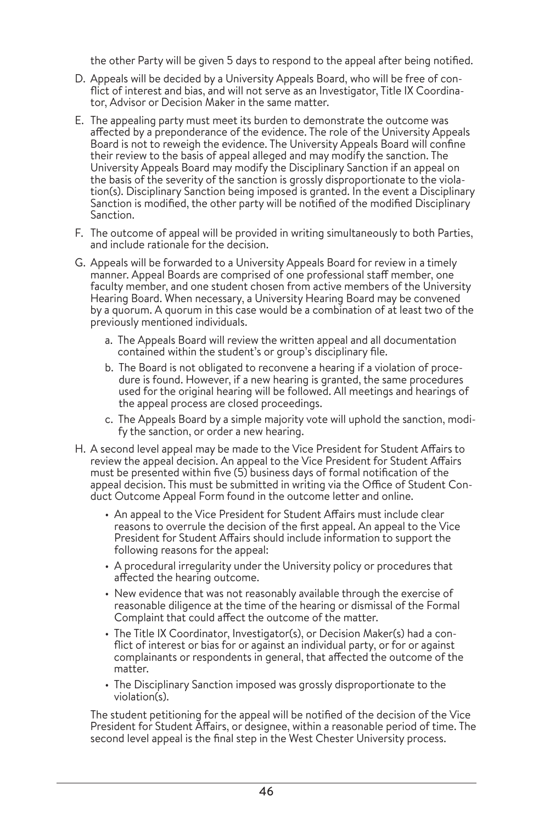the other Party will be given 5 days to respond to the appeal after being notified.

- D. Appeals will be decided by a University Appeals Board, who will be free of conflict of interest and bias, and will not serve as an Investigator, Title IX Coordinator, Advisor or Decision Maker in the same matter.
- E. The appealing party must meet its burden to demonstrate the outcome was affected by a preponderance of the evidence. The role of the University Appeals Board is not to reweigh the evidence. The University Appeals Board will confine their review to the basis of appeal alleged and may modify the sanction. The University Appeals Board may modify the Disciplinary Sanction if an appeal on the basis of the severity of the sanction is grossly disproportionate to the violation(s). Disciplinary Sanction being imposed is granted. In the event a Disciplinary Sanction is modified, the other party will be notified of the modified Disciplinary Sanction.
- F. The outcome of appeal will be provided in writing simultaneously to both Parties, and include rationale for the decision.
- G. Appeals will be forwarded to a University Appeals Board for review in a timely manner. Appeal Boards are comprised of one professional staff member, one faculty member, and one student chosen from active members of the University Hearing Board. When necessary, a University Hearing Board may be convened by a quorum. A quorum in this case would be a combination of at least two of the previously mentioned individuals.
	- a. The Appeals Board will review the written appeal and all documentation contained within the student's or group's disciplinary file.
	- b. The Board is not obligated to reconvene a hearing if a violation of procedure is found. However, if a new hearing is granted, the same procedures used for the original hearing will be followed. All meetings and hearings of the appeal process are closed proceedings.
	- c. The Appeals Board by a simple majority vote will uphold the sanction, modify the sanction, or order a new hearing.
- H. A second level appeal may be made to the Vice President for Student Affairs to review the appeal decision. An appeal to the Vice President for Student Affairs must be presented within five (5) business days of formal notification of the appeal decision. This must be submitted in writing via the Office of Student Conduct Outcome Appeal Form found in the outcome letter and online.
	- An appeal to the Vice President for Student Affairs must include clear reasons to overrule the decision of the first appeal. An appeal to the Vice President for Student Affairs should include information to support the following reasons for the appeal:
	- A procedural irregularity under the University policy or procedures that affected the hearing outcome.
	- New evidence that was not reasonably available through the exercise of reasonable diligence at the time of the hearing or dismissal of the Formal Complaint that could affect the outcome of the matter.
	- The Title IX Coordinator, Investigator(s), or Decision Maker(s) had a conflict of interest or bias for or against an individual party, or for or against complainants or respondents in general, that affected the outcome of the matter.
	- The Disciplinary Sanction imposed was grossly disproportionate to the violation(s).

The student petitioning for the appeal will be notified of the decision of the Vice President for Student Affairs, or designee, within a reasonable period of time. The second level appeal is the final step in the West Chester University process.